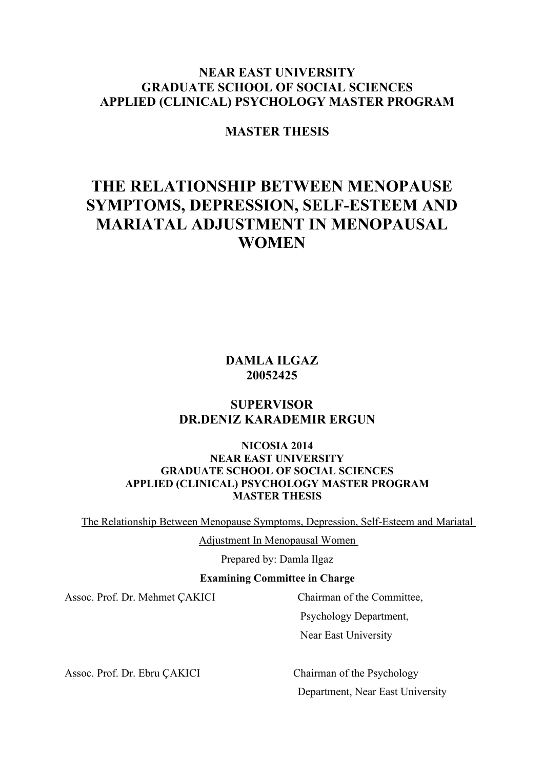## **NEAR EAST UNIVERSITY GRADUATE SCHOOL OF SOCIAL SCIENCES APPLIED (CLINICAL) PSYCHOLOGY MASTER PROGRAM**

**MASTER THESIS**

# **THE RELATIONSHIP BETWEEN MENOPAUSE SYMPTOMS, DEPRESSION, SELF-ESTEEM AND MARIATAL ADJUSTMENT IN MENOPAUSAL WOMEN**

**DAMLA ILGAZ 20052425**

## **SUPERVISOR DR.DENIZ KARADEMIR ERGUN**

## **NICOSIA 2014 NEAR EAST UNIVERSITY GRADUATE SCHOOL OF SOCIAL SCIENCES APPLIED (CLINICAL) PSYCHOLOGY MASTER PROGRAM MASTER THESIS**

The Relationship Between Menopause Symptoms, Depression, Self-Esteem and Mariatal

Adjustment In Menopausal Women

Prepared by: Damla Ilgaz

## **Examining Committee in Charge**

Assoc. Prof. Dr. Mehmet CAKICI Chairman of the Committee,

 Psychology Department, Near East University

Department, Near East University

Assoc. Prof. Dr. Ebru ÇAKICI Chairman of the Psychology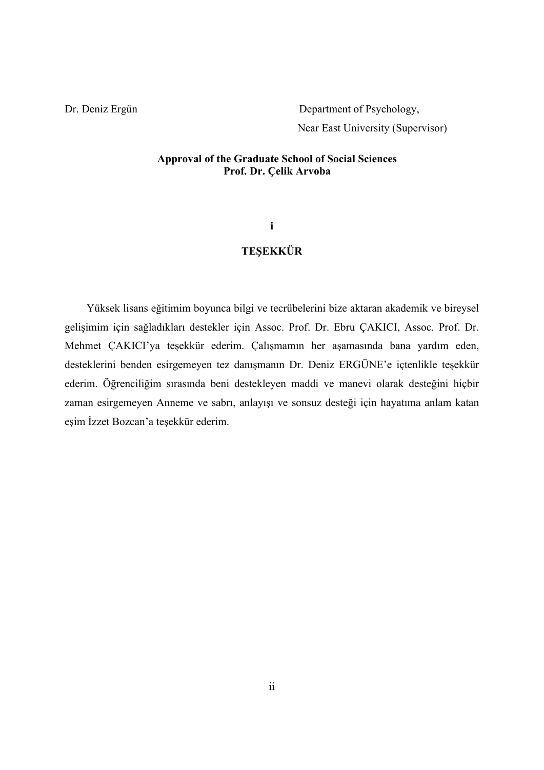Dr. Deniz Ergün Department of Psychology, Near East University (Supervisor)

## **Approval of the Graduate School of Social Sciences Prof. Dr. Çelik Arvoba**

## **i**

## **TEŞEKKÜR**

 Yüksek lisans eğitimim boyunca bilgi ve tecrübelerini bize aktaran akademik ve bireysel gelişimim için sağladıkları destekler için Assoc. Prof. Dr. Ebru ÇAKICI, Assoc. Prof. Dr. Mehmet ÇAKICI'ya teşekkür ederim. Çalışmamın her aşamasında bana yardım eden, desteklerini benden esirgemeyen tez danışmanın Dr. Deniz ERGÜNE'e içtenlikle teşekkür ederim. Öğrenciliğim sırasında beni destekleyen maddi ve manevi olarak desteğini hiçbir zaman esirgemeyen Anneme ve sabrı, anlayışı ve sonsuz desteği için hayatıma anlam katan eşim İzzet Bozcan'a teşekkür ederim.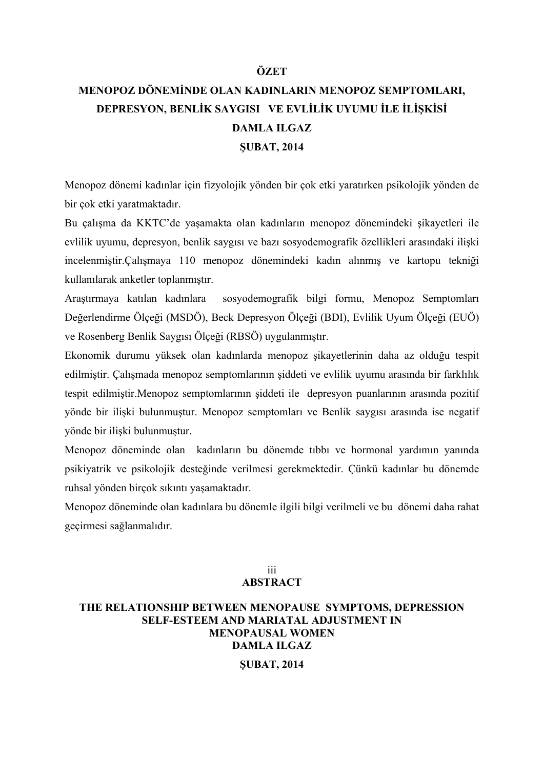## **ÖZET**

## **MENOPOZ DÖNEMİNDE OLAN KADINLARIN MENOPOZ SEMPTOMLARI, DEPRESYON, BENLİK SAYGISI VE EVLİLİK UYUMU İLE İLİŞKİSİ DAMLA ILGAZ ŞUBAT, 2014**

Menopoz dönemi kadınlar için fizyolojik yönden bir çok etki yaratırken psikolojik yönden de bir çok etki yaratmaktadır.

Bu çalışma da KKTC'de yaşamakta olan kadınların menopoz dönemindeki şikayetleri ile evlilik uyumu, depresyon, benlik saygısı ve bazı sosyodemografik özellikleri arasındaki ilişki incelenmiştir.Çalışmaya 110 menopoz dönemindeki kadın alınmış ve kartopu tekniği kullanılarak anketler toplanmıştır.

Araştırmaya katılan kadınlara sosyodemografik bilgi formu, Menopoz Semptomları Değerlendirme Ölçeği (MSDÖ), Beck Depresyon Ölçeği (BDI), Evlilik Uyum Ölçeği (EUÖ) ve Rosenberg Benlik Saygısı Ölçeği (RBSÖ) uygulanmıştır.

Ekonomik durumu yüksek olan kadınlarda menopoz şikayetlerinin daha az olduğu tespit edilmiştir. Çalışmada menopoz semptomlarının şiddeti ve evlilik uyumu arasında bir farklılık tespit edilmiştir.Menopoz semptomlarının şiddeti ile depresyon puanlarının arasında pozitif yönde bir ilişki bulunmuştur. Menopoz semptomları ve Benlik saygısı arasında ise negatif yönde bir ilişki bulunmuştur.

Menopoz döneminde olan kadınların bu dönemde tıbbı ve hormonal yardımın yanında psikiyatrik ve psikolojik desteğinde verilmesi gerekmektedir. Çünkü kadınlar bu dönemde ruhsal yönden birçok sıkıntı yaşamaktadır.

Menopoz döneminde olan kadınlara bu dönemle ilgili bilgi verilmeli ve bu dönemi daha rahat geçirmesi sağlanmalıdır.

### iii **ABSTRACT**

## **THE RELATIONSHIP BETWEEN MENOPAUSE SYMPTOMS, DEPRESSION SELF-ESTEEM AND MARIATAL ADJUSTMENT IN MENOPAUSAL WOMEN DAMLA ILGAZ**

#### **ŞUBAT, 2014**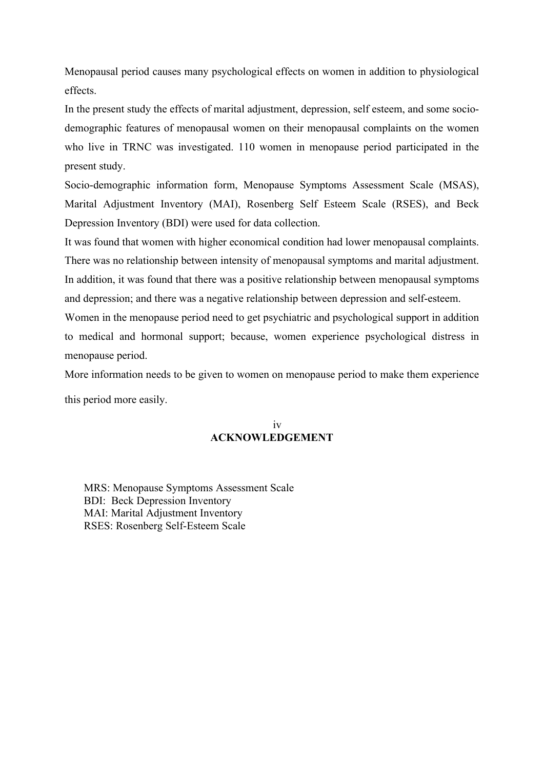Menopausal period causes many psychological effects on women in addition to physiological effects.

In the present study the effects of marital adjustment, depression, self esteem, and some sociodemographic features of menopausal women on their menopausal complaints on the women who live in TRNC was investigated. 110 women in menopause period participated in the present study.

Socio-demographic information form, Menopause Symptoms Assessment Scale (MSAS), Marital Adjustment Inventory (MAI), Rosenberg Self Esteem Scale (RSES), and Beck Depression Inventory (BDI) were used for data collection.

It was found that women with higher economical condition had lower menopausal complaints. There was no relationship between intensity of menopausal symptoms and marital adjustment. In addition, it was found that there was a positive relationship between menopausal symptoms and depression; and there was a negative relationship between depression and self-esteem.

Women in the menopause period need to get psychiatric and psychological support in addition to medical and hormonal support; because, women experience psychological distress in menopause period.

More information needs to be given to women on menopause period to make them experience this period more easily.

## iv **ACKNOWLEDGEMENT**

 MRS: Menopause Symptoms Assessment Scale BDI: Beck Depression Inventory MAI: Marital Adjustment Inventory RSES: Rosenberg Self-Esteem Scale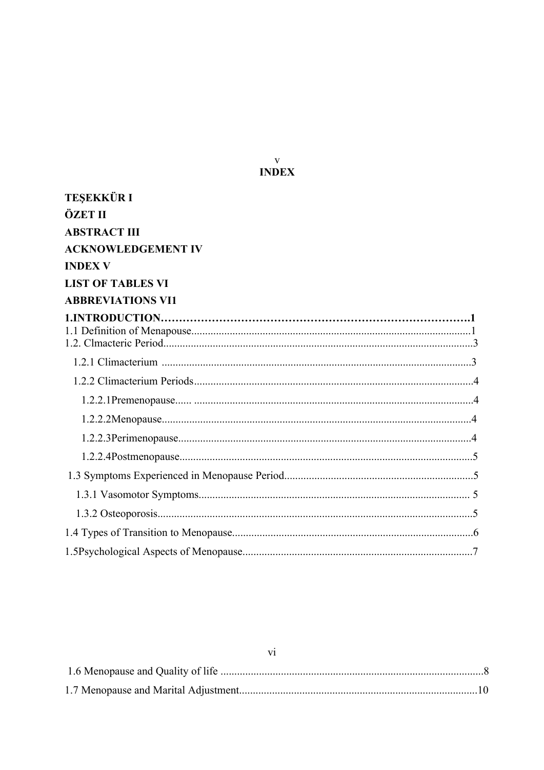| <b>TEŞEKKÜR I</b>         |
|---------------------------|
| ÖZET II                   |
| <b>ABSTRACT III</b>       |
| <b>ACKNOWLEDGEMENT IV</b> |
| <b>INDEX V</b>            |
| <b>LIST OF TABLES VI</b>  |
| <b>ABBREVIATIONS VI1</b>  |
|                           |
|                           |
|                           |
|                           |
|                           |
|                           |
|                           |
|                           |
|                           |
|                           |
|                           |
|                           |

vi

# $\frac{v}{\text{INDEX}}$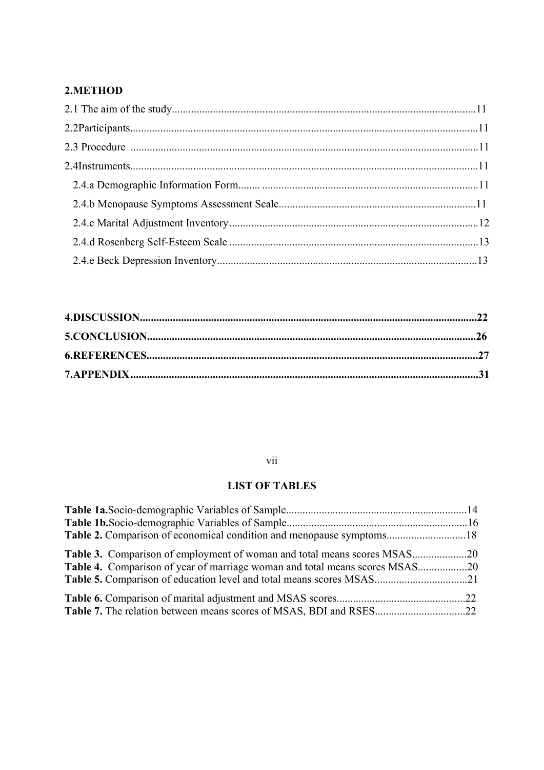## 2.METHOD

## vii

## **LIST OF TABLES**

| Table 4. Comparison of year of marriage woman and total means scores MSAS20 |  |
|-----------------------------------------------------------------------------|--|
|                                                                             |  |
|                                                                             |  |
|                                                                             |  |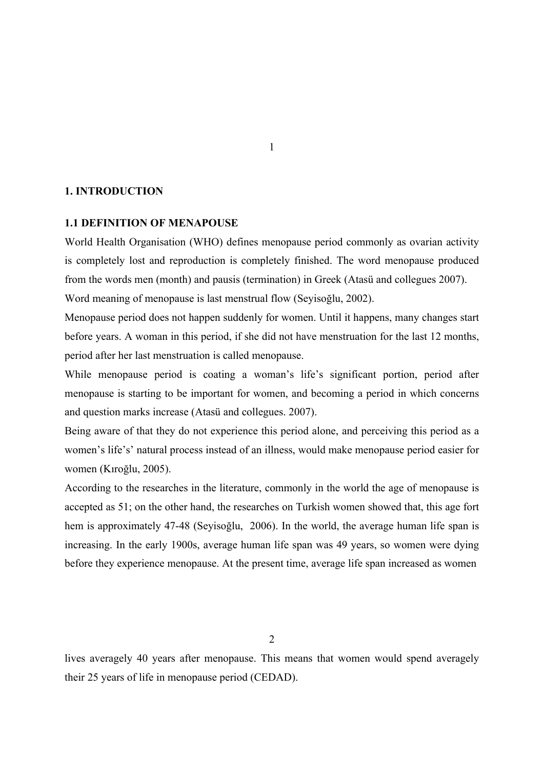#### **1. INTRODUCTION**

#### **1.1 DEFINITION OF MENAPOUSE**

World Health Organisation (WHO) defines menopause period commonly as ovarian activity is completely lost and reproduction is completely finished. The word menopause produced from the words men (month) and pausis (termination) in Greek (Atasü and collegues 2007).

Word meaning of menopause is last menstrual flow (Seyisoğlu, 2002).

Menopause period does not happen suddenly for women. Until it happens, many changes start before years. A woman in this period, if she did not have menstruation for the last 12 months, period after her last menstruation is called menopause.

While menopause period is coating a woman's life's significant portion, period after menopause is starting to be important for women, and becoming a period in which concerns and question marks increase (Atasü and collegues. 2007).

Being aware of that they do not experience this period alone, and perceiving this period as a women's life's' natural process instead of an illness, would make menopause period easier for women (Kıroğlu, 2005).

According to the researches in the literature, commonly in the world the age of menopause is accepted as 51; on the other hand, the researches on Turkish women showed that, this age fort hem is approximately 47-48 (Seyisoğlu, 2006). In the world, the average human life span is increasing. In the early 1900s, average human life span was 49 years, so women were dying before they experience menopause. At the present time, average life span increased as women

2

lives averagely 40 years after menopause. This means that women would spend averagely their 25 years of life in menopause period (CEDAD).

1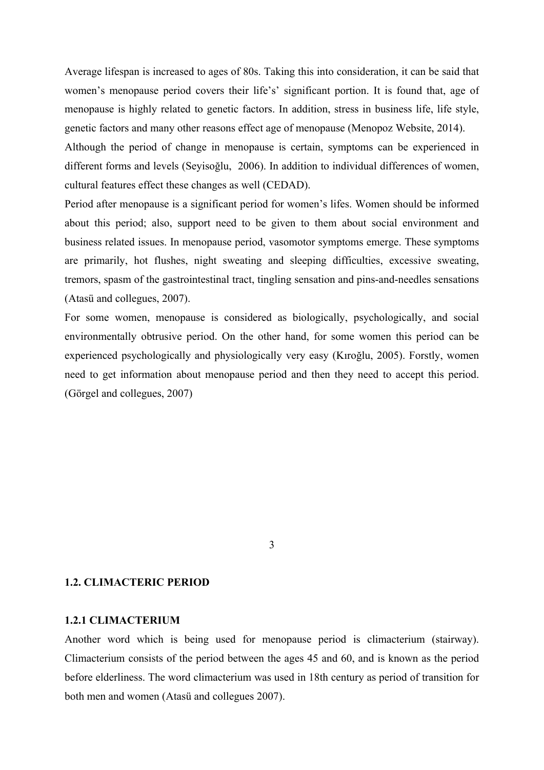Average lifespan is increased to ages of 80s. Taking this into consideration, it can be said that women's menopause period covers their life's' significant portion. It is found that, age of menopause is highly related to genetic factors. In addition, stress in business life, life style, genetic factors and many other reasons effect age of menopause (Menopoz Website, 2014).

Although the period of change in menopause is certain, symptoms can be experienced in different forms and levels (Seyisoğlu, 2006). In addition to individual differences of women, cultural features effect these changes as well (CEDAD).

Period after menopause is a significant period for women's lifes. Women should be informed about this period; also, support need to be given to them about social environment and business related issues. In menopause period, vasomotor symptoms emerge. These symptoms are primarily, hot flushes, night sweating and sleeping difficulties, excessive sweating, tremors, spasm of the gastrointestinal tract, tingling sensation and pins-and-needles sensations (Atasü and collegues, 2007).

For some women, menopause is considered as biologically, psychologically, and social environmentally obtrusive period. On the other hand, for some women this period can be experienced psychologically and physiologically very easy (Kıroğlu, 2005). Forstly, women need to get information about menopause period and then they need to accept this period. (Görgel and collegues, 2007)

3

#### **1.2. CLIMACTERIC PERIOD**

#### **1.2.1 CLIMACTERIUM**

Another word which is being used for menopause period is climacterium (stairway). Climacterium consists of the period between the ages 45 and 60, and is known as the period before elderliness. The word climacterium was used in 18th century as period of transition for both men and women (Atasü and collegues 2007).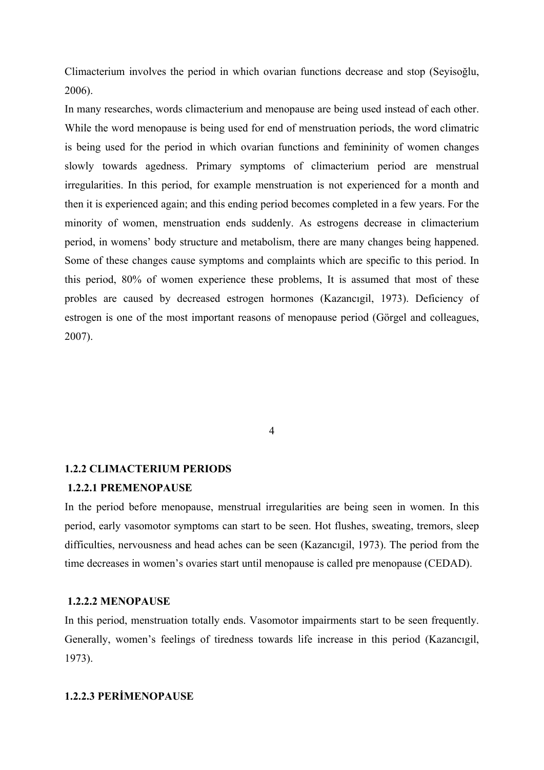Climacterium involves the period in which ovarian functions decrease and stop (Seyisoğlu, 2006).

In many researches, words climacterium and menopause are being used instead of each other. While the word menopause is being used for end of menstruation periods, the word climatric is being used for the period in which ovarian functions and femininity of women changes slowly towards agedness. Primary symptoms of climacterium period are menstrual irregularities. In this period, for example menstruation is not experienced for a month and then it is experienced again; and this ending period becomes completed in a few years. For the minority of women, menstruation ends suddenly. As estrogens decrease in climacterium period, in womens' body structure and metabolism, there are many changes being happened. Some of these changes cause symptoms and complaints which are specific to this period. In this period, 80% of women experience these problems, It is assumed that most of these probles are caused by decreased estrogen hormones (Kazancıgil, 1973). Deficiency of estrogen is one of the most important reasons of menopause period (Görgel and colleagues, 2007).

4

#### **1.2.2 CLIMACTERIUM PERIODS**

#### **1.2.2.1 PREMENOPAUSE**

In the period before menopause, menstrual irregularities are being seen in women. In this period, early vasomotor symptoms can start to be seen. Hot flushes, sweating, tremors, sleep difficulties, nervousness and head aches can be seen (Kazancıgil, 1973). The period from the time decreases in women's ovaries start until menopause is called pre menopause (CEDAD).

#### **1.2.2.2 MENOPAUSE**

In this period, menstruation totally ends. Vasomotor impairments start to be seen frequently. Generally, women's feelings of tiredness towards life increase in this period (Kazancıgil, 1973).

## **1.2.2.3 PERİMENOPAUSE**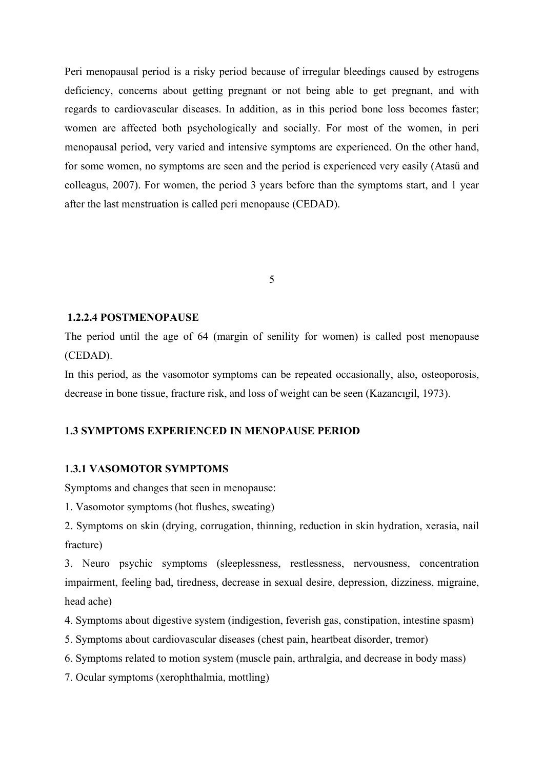Peri menopausal period is a risky period because of irregular bleedings caused by estrogens deficiency, concerns about getting pregnant or not being able to get pregnant, and with regards to cardiovascular diseases. In addition, as in this period bone loss becomes faster; women are affected both psychologically and socially. For most of the women, in peri menopausal period, very varied and intensive symptoms are experienced. On the other hand, for some women, no symptoms are seen and the period is experienced very easily (Atasü and colleagus, 2007). For women, the period 3 years before than the symptoms start, and 1 year after the last menstruation is called peri menopause (CEDAD).

5

#### **1.2.2.4 POSTMENOPAUSE**

The period until the age of 64 (margin of senility for women) is called post menopause (CEDAD).

In this period, as the vasomotor symptoms can be repeated occasionally, also, osteoporosis, decrease in bone tissue, fracture risk, and loss of weight can be seen (Kazancıgil, 1973).

#### **1.3 SYMPTOMS EXPERIENCED IN MENOPAUSE PERIOD**

#### **1.3.1 VASOMOTOR SYMPTOMS**

Symptoms and changes that seen in menopause:

- 1. Vasomotor symptoms (hot flushes, sweating)
- 2. Symptoms on skin (drying, corrugation, thinning, reduction in skin hydration, xerasia, nail fracture)

3. Neuro psychic symptoms (sleeplessness, restlessness, nervousness, concentration impairment, feeling bad, tiredness, decrease in sexual desire, depression, dizziness, migraine, head ache)

- 4. Symptoms about digestive system (indigestion, feverish gas, constipation, intestine spasm)
- 5. Symptoms about cardiovascular diseases (chest pain, heartbeat disorder, tremor)
- 6. Symptoms related to motion system (muscle pain, arthralgia, and decrease in body mass)
- 7. Ocular symptoms (xerophthalmia, mottling)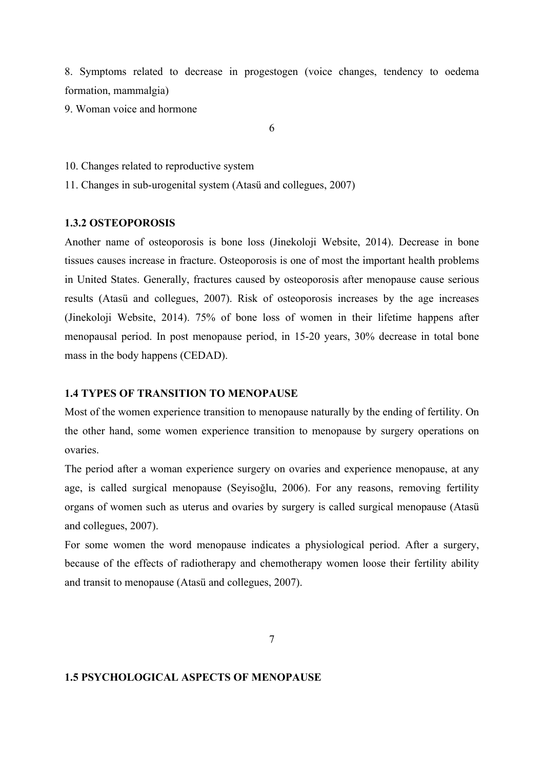8. Symptoms related to decrease in progestogen (voice changes, tendency to oedema formation, mammalgia)

9. Woman voice and hormone

6

10. Changes related to reproductive system

11. Changes in sub-urogenital system (Atasü and collegues, 2007)

#### **1.3.2 OSTEOPOROSIS**

Another name of osteoporosis is bone loss (Jinekoloji Website, 2014). Decrease in bone tissues causes increase in fracture. Osteoporosis is one of most the important health problems in United States. Generally, fractures caused by osteoporosis after menopause cause serious results (Atasü and collegues, 2007). Risk of osteoporosis increases by the age increases (Jinekoloji Website, 2014). 75% of bone loss of women in their lifetime happens after menopausal period. In post menopause period, in 15-20 years, 30% decrease in total bone mass in the body happens (CEDAD).

#### **1.4 TYPES OF TRANSITION TO MENOPAUSE**

Most of the women experience transition to menopause naturally by the ending of fertility. On the other hand, some women experience transition to menopause by surgery operations on ovaries.

The period after a woman experience surgery on ovaries and experience menopause, at any age, is called surgical menopause (Seyisoğlu, 2006). For any reasons, removing fertility organs of women such as uterus and ovaries by surgery is called surgical menopause (Atasü and collegues, 2007).

For some women the word menopause indicates a physiological period. After a surgery, because of the effects of radiotherapy and chemotherapy women loose their fertility ability and transit to menopause (Atasü and collegues, 2007).

7

#### **1.5 PSYCHOLOGICAL ASPECTS OF MENOPAUSE**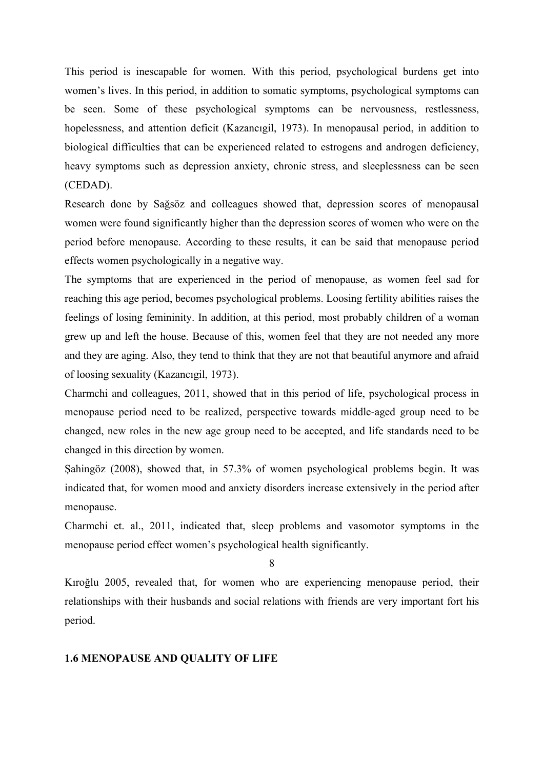This period is inescapable for women. With this period, psychological burdens get into women's lives. In this period, in addition to somatic symptoms, psychological symptoms can be seen. Some of these psychological symptoms can be nervousness, restlessness, hopelessness, and attention deficit (Kazancıgil, 1973). In menopausal period, in addition to biological difficulties that can be experienced related to estrogens and androgen deficiency, heavy symptoms such as depression anxiety, chronic stress, and sleeplessness can be seen (CEDAD).

Research done by Sağsöz and colleagues showed that, depression scores of menopausal women were found significantly higher than the depression scores of women who were on the period before menopause. According to these results, it can be said that menopause period effects women psychologically in a negative way.

The symptoms that are experienced in the period of menopause, as women feel sad for reaching this age period, becomes psychological problems. Loosing fertility abilities raises the feelings of losing femininity. In addition, at this period, most probably children of a woman grew up and left the house. Because of this, women feel that they are not needed any more and they are aging. Also, they tend to think that they are not that beautiful anymore and afraid of loosing sexuality (Kazancıgil, 1973).

Charmchi and colleagues, 2011, showed that in this period of life, psychological process in menopause period need to be realized, perspective towards middle-aged group need to be changed, new roles in the new age group need to be accepted, and life standards need to be changed in this direction by women.

Şahingöz (2008), showed that, in 57.3% of women psychological problems begin. It was indicated that, for women mood and anxiety disorders increase extensively in the period after menopause.

Charmchi et. al., 2011, indicated that, sleep problems and vasomotor symptoms in the menopause period effect women's psychological health significantly.

8

Kıroğlu 2005, revealed that, for women who are experiencing menopause period, their relationships with their husbands and social relations with friends are very important fort his period.

### **1.6 MENOPAUSE AND QUALITY OF LIFE**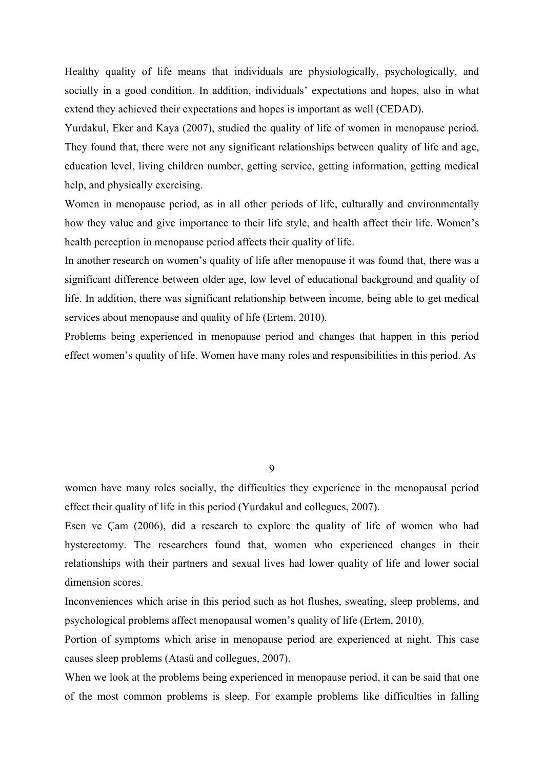Healthy quality of life means that individuals are physiologically, psychologically, and socially in a good condition. In addition, individuals' expectations and hopes, also in what extend they achieved their expectations and hopes is important as well (CEDAD).

Yurdakul, Eker and Kaya (2007), studied the quality of life of women in menopause period. They found that, there were not any significant relationships between quality of life and age, education level, living children number, getting service, getting information, getting medical help, and physically exercising.

Women in menopause period, as in all other periods of life, culturally and environmentally how they value and give importance to their life style, and health affect their life. Women's health perception in menopause period affects their quality of life.

In another research on women's quality of life after menopause it was found that, there was a significant difference between older age, low level of educational background and quality of life. In addition, there was significant relationship between income, being able to get medical services about menopause and quality of life (Ertem, 2010).

Problems being experienced in menopause period and changes that happen in this period effect women's quality of life. Women have many roles and responsibilities in this period. As

 $\overline{Q}$ 

women have many roles socially, the difficulties they experience in the menopausal period effect their quality of life in this period (Yurdakul and collegues, 2007).

Esen ve Çam (2006), did a research to explore the quality of life of women who had hysterectomy. The researchers found that, women who experienced changes in their relationships with their partners and sexual lives had lower quality of life and lower social dimension scores.

Inconveniences which arise in this period such as hot flushes, sweating, sleep problems, and psychological problems affect menopausal women's quality of life (Ertem, 2010).

Portion of symptoms which arise in menopause period are experienced at night. This case causes sleep problems (Atasü and collegues, 2007).

When we look at the problems being experienced in menopause period, it can be said that one of the most common problems is sleep. For example problems like difficulties in falling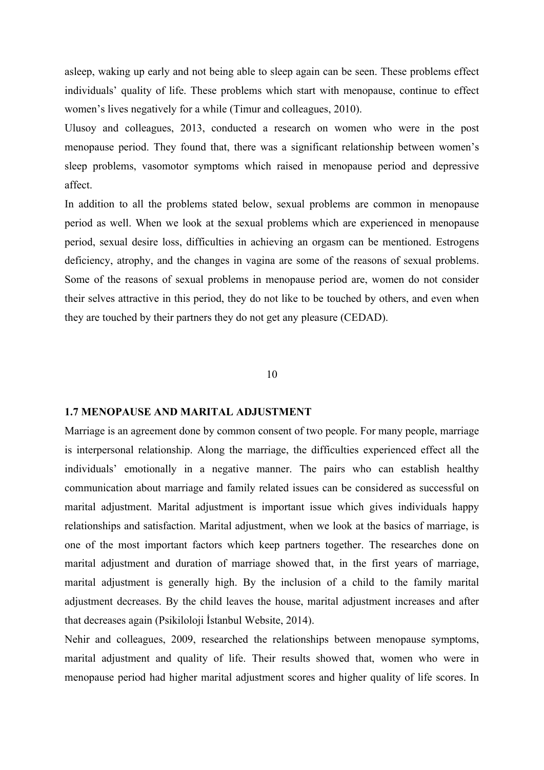asleep, waking up early and not being able to sleep again can be seen. These problems effect individuals' quality of life. These problems which start with menopause, continue to effect women's lives negatively for a while (Timur and colleagues, 2010).

Ulusoy and colleagues, 2013, conducted a research on women who were in the post menopause period. They found that, there was a significant relationship between women's sleep problems, vasomotor symptoms which raised in menopause period and depressive affect.

In addition to all the problems stated below, sexual problems are common in menopause period as well. When we look at the sexual problems which are experienced in menopause period, sexual desire loss, difficulties in achieving an orgasm can be mentioned. Estrogens deficiency, atrophy, and the changes in vagina are some of the reasons of sexual problems. Some of the reasons of sexual problems in menopause period are, women do not consider their selves attractive in this period, they do not like to be touched by others, and even when they are touched by their partners they do not get any pleasure (CEDAD).

10

#### **1.7 MENOPAUSE AND MARITAL ADJUSTMENT**

Marriage is an agreement done by common consent of two people. For many people, marriage is interpersonal relationship. Along the marriage, the difficulties experienced effect all the individuals' emotionally in a negative manner. The pairs who can establish healthy communication about marriage and family related issues can be considered as successful on marital adjustment. Marital adjustment is important issue which gives individuals happy relationships and satisfaction. Marital adjustment, when we look at the basics of marriage, is one of the most important factors which keep partners together. The researches done on marital adjustment and duration of marriage showed that, in the first years of marriage, marital adjustment is generally high. By the inclusion of a child to the family marital adjustment decreases. By the child leaves the house, marital adjustment increases and after that decreases again (Psikiloloji İstanbul Website, 2014).

Nehir and colleagues, 2009, researched the relationships between menopause symptoms, marital adjustment and quality of life. Their results showed that, women who were in menopause period had higher marital adjustment scores and higher quality of life scores. In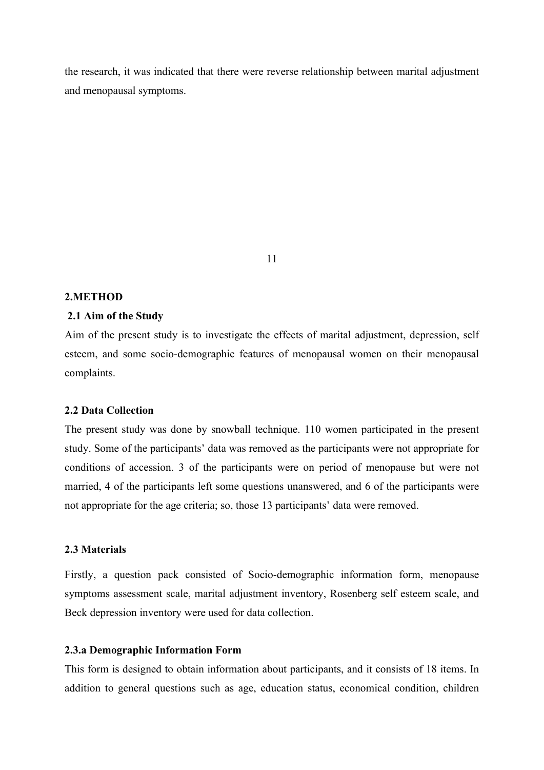the research, it was indicated that there were reverse relationship between marital adjustment and menopausal symptoms.

#### **2.METHOD**

#### **2.1 Aim of the Study**

Aim of the present study is to investigate the effects of marital adjustment, depression, self esteem, and some socio-demographic features of menopausal women on their menopausal complaints.

11

#### **2.2 Data Collection**

The present study was done by snowball technique. 110 women participated in the present study. Some of the participants' data was removed as the participants were not appropriate for conditions of accession. 3 of the participants were on period of menopause but were not married, 4 of the participants left some questions unanswered, and 6 of the participants were not appropriate for the age criteria; so, those 13 participants' data were removed.

#### **2.3 Materials**

Firstly, a question pack consisted of Socio-demographic information form, menopause symptoms assessment scale, marital adjustment inventory, Rosenberg self esteem scale, and Beck depression inventory were used for data collection.

#### **2.3.a Demographic Information Form**

This form is designed to obtain information about participants, and it consists of 18 items. In addition to general questions such as age, education status, economical condition, children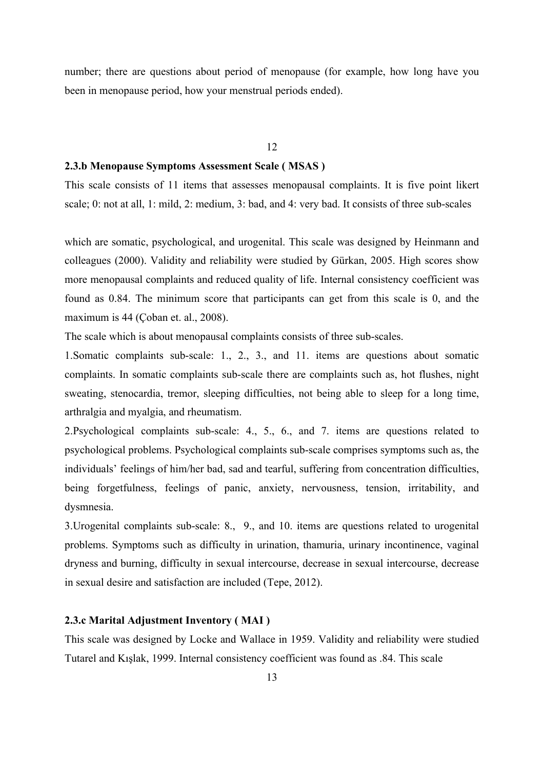number; there are questions about period of menopause (for example, how long have you been in menopause period, how your menstrual periods ended).

#### 12

## **2.3.b Menopause Symptoms Assessment Scale ( MSAS )**

This scale consists of 11 items that assesses menopausal complaints. It is five point likert scale; 0: not at all, 1: mild, 2: medium, 3: bad, and 4: very bad. It consists of three sub-scales

which are somatic, psychological, and urogenital. This scale was designed by Heinmann and colleagues (2000). Validity and reliability were studied by Gürkan, 2005. High scores show more menopausal complaints and reduced quality of life. Internal consistency coefficient was found as 0.84. The minimum score that participants can get from this scale is 0, and the maximum is 44 (Coban et. al., 2008).

The scale which is about menopausal complaints consists of three sub-scales.

1.Somatic complaints sub-scale: 1., 2., 3., and 11. items are questions about somatic complaints. In somatic complaints sub-scale there are complaints such as, hot flushes, night sweating, stenocardia, tremor, sleeping difficulties, not being able to sleep for a long time, arthralgia and myalgia, and rheumatism.

2.Psychological complaints sub-scale: 4., 5., 6., and 7. items are questions related to psychological problems. Psychological complaints sub-scale comprises symptoms such as, the individuals' feelings of him/her bad, sad and tearful, suffering from concentration difficulties, being forgetfulness, feelings of panic, anxiety, nervousness, tension, irritability, and dysmnesia.

3.Urogenital complaints sub-scale: 8., 9., and 10. items are questions related to urogenital problems. Symptoms such as difficulty in urination, thamuria, urinary incontinence, vaginal dryness and burning, difficulty in sexual intercourse, decrease in sexual intercourse, decrease in sexual desire and satisfaction are included (Tepe, 2012).

#### **2.3.c Marital Adjustment Inventory ( MAI )**

This scale was designed by Locke and Wallace in 1959. Validity and reliability were studied Tutarel and Kışlak, 1999. Internal consistency coefficient was found as .84. This scale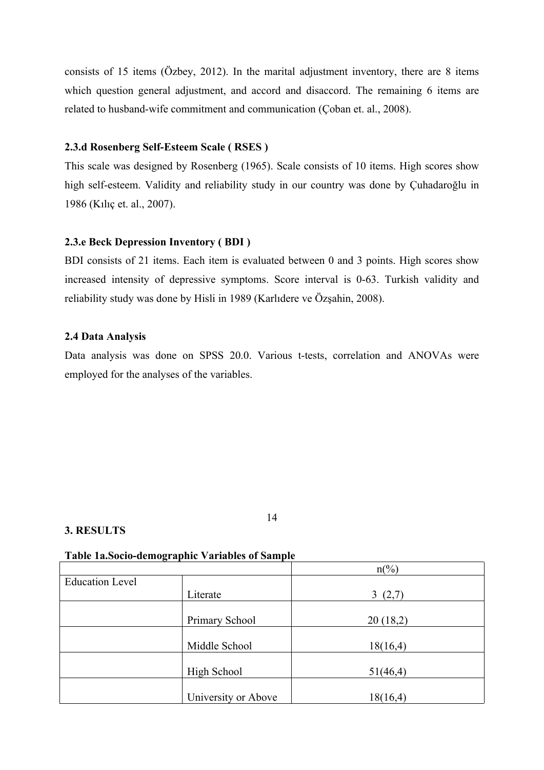consists of 15 items (Özbey, 2012). In the marital adjustment inventory, there are 8 items which question general adjustment, and accord and disaccord. The remaining 6 items are related to husband-wife commitment and communication (Çoban et. al., 2008).

## **2.3.d Rosenberg Self-Esteem Scale ( RSES )**

This scale was designed by Rosenberg (1965). Scale consists of 10 items. High scores show high self-esteem. Validity and reliability study in our country was done by Çuhadaroğlu in 1986 (Kılıç et. al., 2007).

## **2.3.e Beck Depression Inventory ( BDI )**

BDI consists of 21 items. Each item is evaluated between 0 and 3 points. High scores show increased intensity of depressive symptoms. Score interval is 0-63. Turkish validity and reliability study was done by Hisli in 1989 (Karlıdere ve Özşahin, 2008).

## **2.4 Data Analysis**

Data analysis was done on SPSS 20.0. Various t-tests, correlation and ANOVAs were employed for the analyses of the variables.

## **3. RESULTS**

14

## **Table 1a.Socio-demographic Variables of Sample**

|                        |                     | $n\binom{0}{0}$ |
|------------------------|---------------------|-----------------|
| <b>Education Level</b> |                     |                 |
|                        | Literate            | 3(2,7)          |
|                        |                     |                 |
|                        | Primary School      | 20(18,2)        |
|                        |                     |                 |
|                        | Middle School       | 18(16,4)        |
|                        |                     |                 |
|                        | High School         | 51(46,4)        |
|                        |                     |                 |
|                        | University or Above | 18(16,4)        |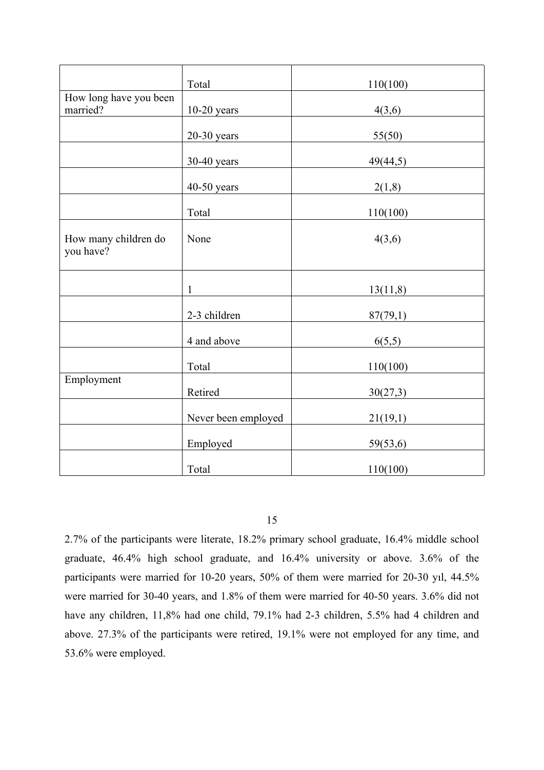|                                   | Total               | 110(100) |
|-----------------------------------|---------------------|----------|
| How long have you been            |                     |          |
| married?                          | $10-20$ years       | 4(3,6)   |
|                                   |                     |          |
|                                   | $20-30$ years       | 55(50)   |
|                                   | $30-40$ years       | 49(44,5) |
|                                   | $40-50$ years       | 2(1,8)   |
|                                   | Total               | 110(100) |
|                                   |                     |          |
| How many children do<br>you have? | None                | 4(3,6)   |
|                                   |                     |          |
|                                   | $\mathbf{1}$        | 13(11,8) |
|                                   |                     |          |
|                                   | 2-3 children        | 87(79,1) |
|                                   | 4 and above         | 6(5,5)   |
|                                   | Total               | 110(100) |
| Employment                        | Retired             | 30(27,3) |
|                                   |                     |          |
|                                   | Never been employed | 21(19,1) |
|                                   | Employed            | 59(53,6) |
|                                   | Total               | 110(100) |

## 15

2.7% of the participants were literate, 18.2% primary school graduate, 16.4% middle school graduate, 46.4% high school graduate, and 16.4% university or above. 3.6% of the participants were married for 10-20 years, 50% of them were married for 20-30 yıl, 44.5% were married for 30-40 years, and 1.8% of them were married for 40-50 years. 3.6% did not have any children, 11,8% had one child, 79.1% had 2-3 children, 5.5% had 4 children and above. 27.3% of the participants were retired, 19.1% were not employed for any time, and 53.6% were employed.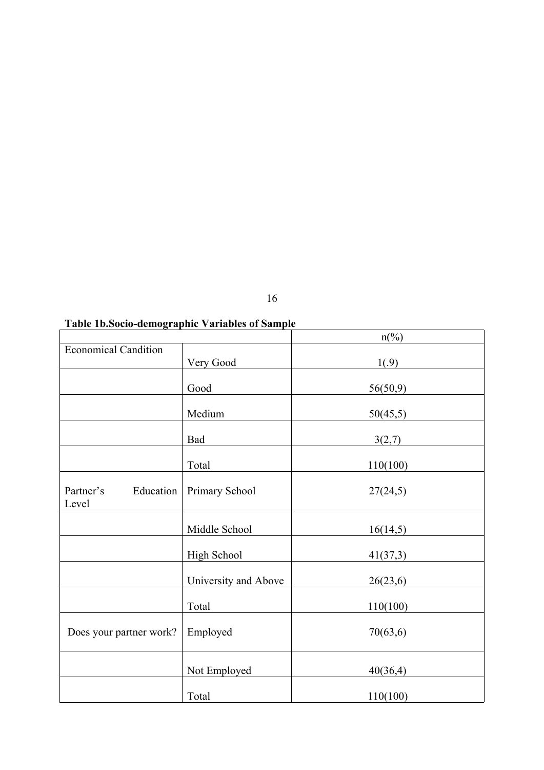## **Table 1b.Socio-demographic Variables of Sample**

|                                 |                      | $n\left(\frac{0}{0}\right)$ |
|---------------------------------|----------------------|-----------------------------|
| <b>Economical Candition</b>     |                      |                             |
|                                 | Very Good            | 1(.9)                       |
|                                 |                      |                             |
|                                 | Good                 | 56(50,9)                    |
|                                 | Medium               | 50(45,5)                    |
|                                 | Bad                  | 3(2,7)                      |
|                                 | Total                | 110(100)                    |
| Education<br>Partner's<br>Level | Primary School       | 27(24,5)                    |
|                                 | Middle School        | 16(14,5)                    |
|                                 | High School          | 41(37,3)                    |
|                                 | University and Above | 26(23,6)                    |
|                                 | Total                | 110(100)                    |
| Does your partner work?         | Employed             | 70(63,6)                    |
|                                 | Not Employed         | 40(36,4)                    |
|                                 | Total                | 110(100)                    |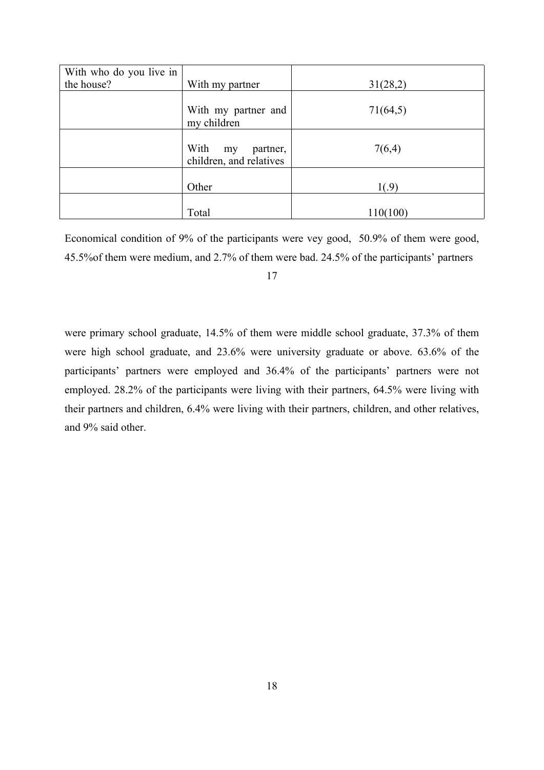| With who do you live in |                                                |          |
|-------------------------|------------------------------------------------|----------|
| the house?              | With my partner                                | 31(28,2) |
|                         | With my partner and<br>my children             | 71(64,5) |
|                         | With my<br>partner,<br>children, and relatives | 7(6,4)   |
|                         | Other                                          | 1(.9)    |
|                         | Total                                          | 110(100) |

Economical condition of 9% of the participants were vey good, 50.9% of them were good, 45.5%of them were medium, and 2.7% of them were bad. 24.5% of the participants' partners

were primary school graduate, 14.5% of them were middle school graduate, 37.3% of them were high school graduate, and 23.6% were university graduate or above. 63.6% of the participants' partners were employed and 36.4% of the participants' partners were not employed. 28.2% of the participants were living with their partners, 64.5% were living with their partners and children, 6.4% were living with their partners, children, and other relatives, and 9% said other.

<sup>17</sup>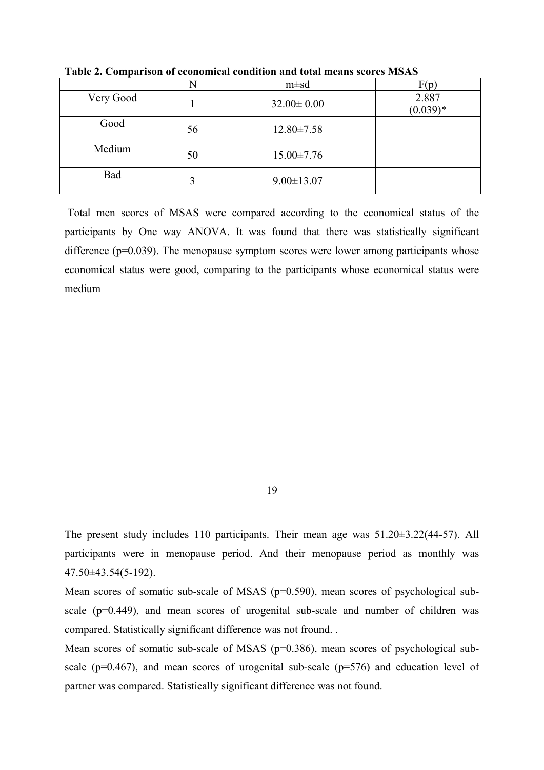|           | N  | $m \pm sd$       | F(p)                |
|-----------|----|------------------|---------------------|
| Very Good |    | $32.00 \pm 0.00$ | 2.887<br>$(0.039)*$ |
| Good      | 56 | $12.80 \pm 7.58$ |                     |
| Medium    | 50 | $15.00 \pm 7.76$ |                     |
| Bad       |    | $9.00 \pm 13.07$ |                     |

**Table 2. Comparison of economical condition and total means scores MSAS**

Total men scores of MSAS were compared according to the economical status of the participants by One way ANOVA. It was found that there was statistically significant difference (p=0.039). The menopause symptom scores were lower among participants whose economical status were good, comparing to the participants whose economical status were medium

#### 19

The present study includes 110 participants. Their mean age was 51.20±3.22(44-57). All participants were in menopause period. And their menopause period as monthly was 47.50±43.54(5-192).

Mean scores of somatic sub-scale of MSAS (p=0.590), mean scores of psychological subscale (p=0.449), and mean scores of urogenital sub-scale and number of children was compared. Statistically significant difference was not fround. .

Mean scores of somatic sub-scale of MSAS (p=0.386), mean scores of psychological subscale ( $p=0.467$ ), and mean scores of urogenital sub-scale ( $p=576$ ) and education level of partner was compared. Statistically significant difference was not found.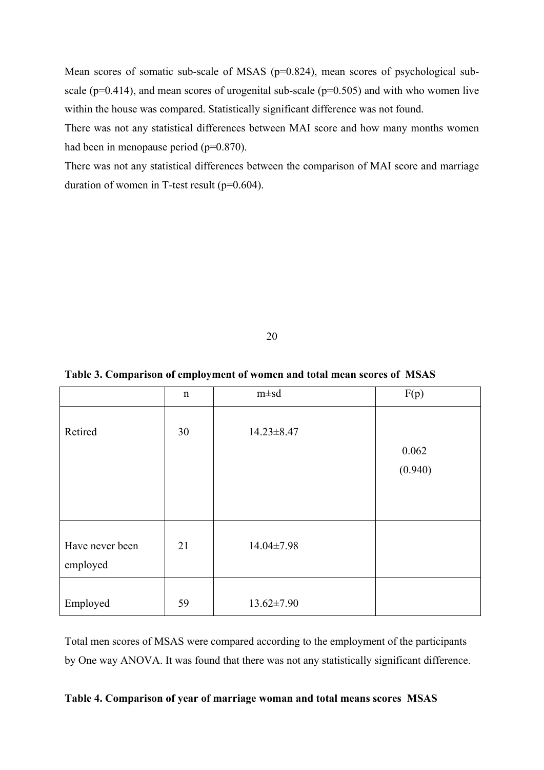Mean scores of somatic sub-scale of MSAS (p=0.824), mean scores of psychological subscale ( $p=0.414$ ), and mean scores of urogenital sub-scale ( $p=0.505$ ) and with who women live within the house was compared. Statistically significant difference was not found.

There was not any statistical differences between MAI score and how many months women had been in menopause period (p=0.870).

There was not any statistical differences between the comparison of MAI score and marriage duration of women in T-test result (p=0.604).

20

**Table 3. Comparison of employment of women and total mean scores of MSAS**

|                             | $\mathbf n$ | $m \pm sd$       | F(p)             |
|-----------------------------|-------------|------------------|------------------|
| Retired                     | 30          | 14.23±8.47       | 0.062<br>(0.940) |
| Have never been<br>employed | 21          | 14.04±7.98       |                  |
| Employed                    | 59          | $13.62 \pm 7.90$ |                  |

Total men scores of MSAS were compared according to the employment of the participants by One way ANOVA. It was found that there was not any statistically significant difference.

## **Table 4. Comparison of year of marriage woman and total means scores MSAS**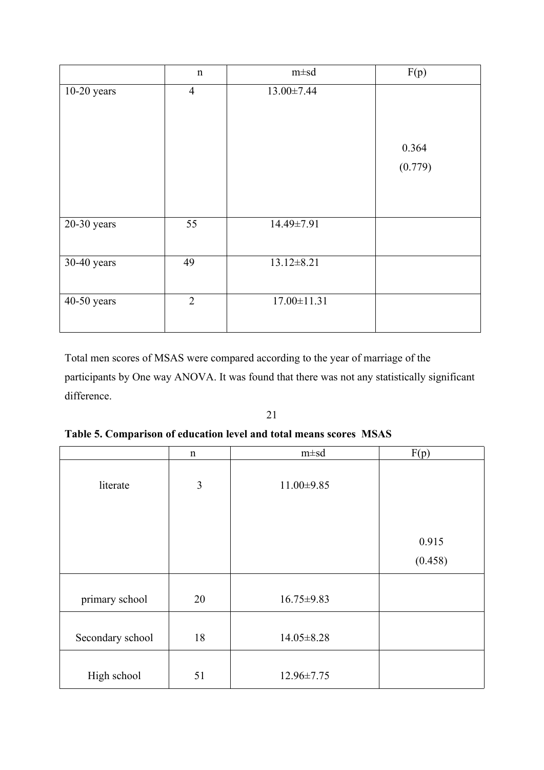|               | $\mathbf n$    | $m \pm sd$        | F(p)             |
|---------------|----------------|-------------------|------------------|
| $10-20$ years | $\overline{4}$ | $13.00 \pm 7.44$  | 0.364<br>(0.779) |
| $20-30$ years | 55             | 14.49±7.91        |                  |
| 30-40 years   | 49             | $13.12 \pm 8.21$  |                  |
| 40-50 years   | $\overline{2}$ | $17.00 \pm 11.31$ |                  |

Total men scores of MSAS were compared according to the year of marriage of the participants by One way ANOVA. It was found that there was not any statistically significant difference.

21

## **Table 5. Comparison of education level and total means scores MSAS**

|                  | $\mathbf n$ | $m \pm sd$       | F(p)             |
|------------------|-------------|------------------|------------------|
| literate         | 3           | $11.00 \pm 9.85$ |                  |
|                  |             |                  | 0.915<br>(0.458) |
| primary school   | 20          | $16.75 \pm 9.83$ |                  |
| Secondary school | 18          | $14.05 \pm 8.28$ |                  |
| High school      | 51          | 12.96±7.75       |                  |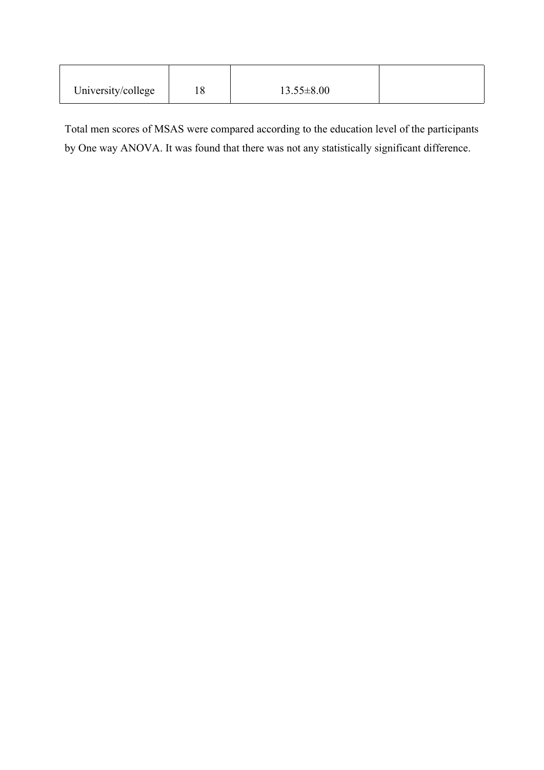| University/college | , O<br>10 | $13.55 \pm 8.00$ |  |
|--------------------|-----------|------------------|--|
|                    |           |                  |  |

Total men scores of MSAS were compared according to the education level of the participants by One way ANOVA. It was found that there was not any statistically significant difference.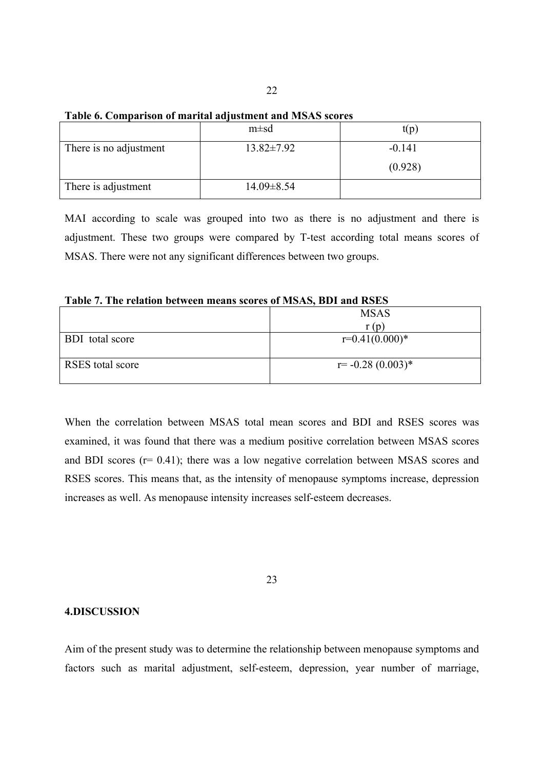|                        | $m \pm sd$       | t(p)     |
|------------------------|------------------|----------|
| There is no adjustment | $13.82 \pm 7.92$ | $-0.141$ |
|                        |                  | (0.928)  |
| There is adjustment    | $14.09 \pm 8.54$ |          |

**Table 6. Comparison of marital adjustment and MSAS scores**

MAI according to scale was grouped into two as there is no adjustment and there is adjustment. These two groups were compared by T-test according total means scores of MSAS. There were not any significant differences between two groups.

| Table 7. The relation between means scores of MSAS, BDI and RSES |  |  |  |
|------------------------------------------------------------------|--|--|--|
|------------------------------------------------------------------|--|--|--|

|                  | <b>MSAS</b>          |
|------------------|----------------------|
|                  | r(p)                 |
| BDI total score  | $r=0.41(0.000)*$     |
| RSES total score | $r = -0.28(0.003)^*$ |

When the correlation between MSAS total mean scores and BDI and RSES scores was examined, it was found that there was a medium positive correlation between MSAS scores and BDI scores (r= 0.41); there was a low negative correlation between MSAS scores and RSES scores. This means that, as the intensity of menopause symptoms increase, depression increases as well. As menopause intensity increases self-esteem decreases.

23

#### **4.DISCUSSION**

Aim of the present study was to determine the relationship between menopause symptoms and factors such as marital adjustment, self-esteem, depression, year number of marriage,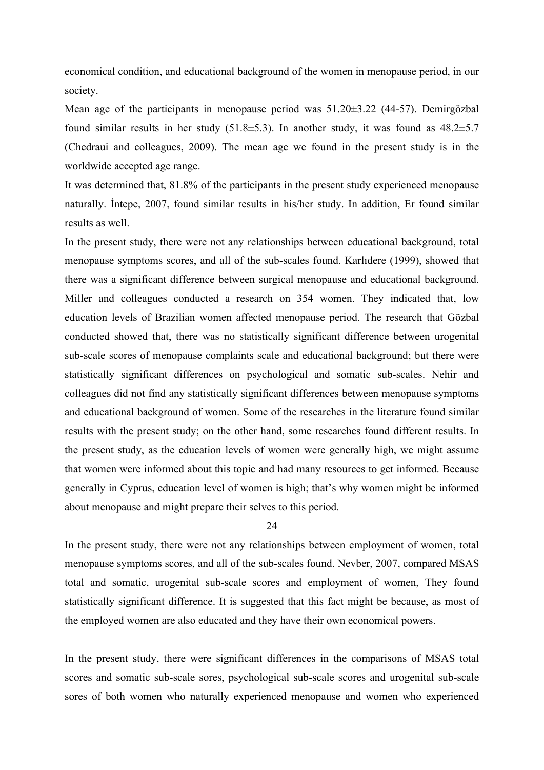economical condition, and educational background of the women in menopause period, in our society.

Mean age of the participants in menopause period was 51.20±3.22 (44-57). Demirgözbal found similar results in her study  $(51.8\pm 5.3)$ . In another study, it was found as  $48.2\pm 5.7$ (Chedraui and colleagues, 2009). The mean age we found in the present study is in the worldwide accepted age range.

It was determined that, 81.8% of the participants in the present study experienced menopause naturally. İntepe, 2007, found similar results in his/her study. In addition, Er found similar results as well.

In the present study, there were not any relationships between educational background, total menopause symptoms scores, and all of the sub-scales found. Karlıdere (1999), showed that there was a significant difference between surgical menopause and educational background. Miller and colleagues conducted a research on 354 women. They indicated that, low education levels of Brazilian women affected menopause period. The research that Gözbal conducted showed that, there was no statistically significant difference between urogenital sub-scale scores of menopause complaints scale and educational background; but there were statistically significant differences on psychological and somatic sub-scales. Nehir and colleagues did not find any statistically significant differences between menopause symptoms and educational background of women. Some of the researches in the literature found similar results with the present study; on the other hand, some researches found different results. In the present study, as the education levels of women were generally high, we might assume that women were informed about this topic and had many resources to get informed. Because generally in Cyprus, education level of women is high; that's why women might be informed about menopause and might prepare their selves to this period.

24

In the present study, there were not any relationships between employment of women, total menopause symptoms scores, and all of the sub-scales found. Nevber, 2007, compared MSAS total and somatic, urogenital sub-scale scores and employment of women, They found statistically significant difference. It is suggested that this fact might be because, as most of the employed women are also educated and they have their own economical powers.

In the present study, there were significant differences in the comparisons of MSAS total scores and somatic sub-scale sores, psychological sub-scale scores and urogenital sub-scale sores of both women who naturally experienced menopause and women who experienced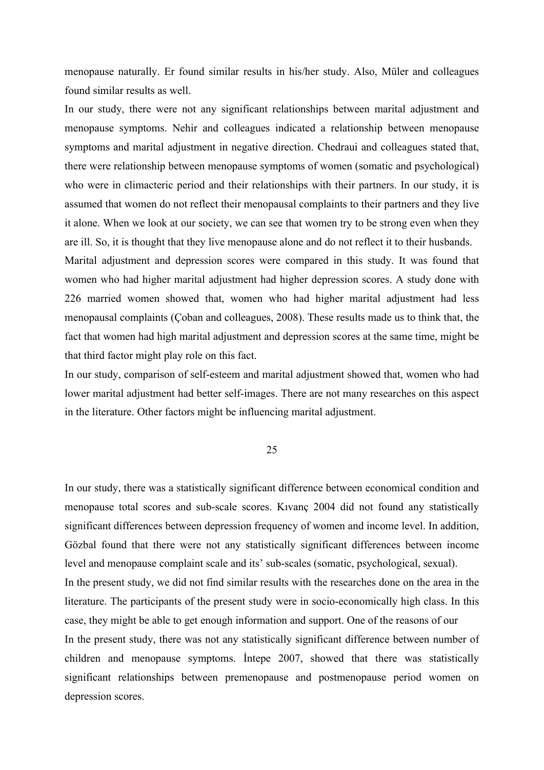menopause naturally. Er found similar results in his/her study. Also, Müler and colleagues found similar results as well.

In our study, there were not any significant relationships between marital adjustment and menopause symptoms. Nehir and colleagues indicated a relationship between menopause symptoms and marital adjustment in negative direction. Chedraui and colleagues stated that, there were relationship between menopause symptoms of women (somatic and psychological) who were in climacteric period and their relationships with their partners. In our study, it is assumed that women do not reflect their menopausal complaints to their partners and they live it alone. When we look at our society, we can see that women try to be strong even when they are ill. So, it is thought that they live menopause alone and do not reflect it to their husbands.

Marital adjustment and depression scores were compared in this study. It was found that women who had higher marital adjustment had higher depression scores. A study done with 226 married women showed that, women who had higher marital adjustment had less menopausal complaints (Çoban and colleagues, 2008). These results made us to think that, the fact that women had high marital adjustment and depression scores at the same time, might be that third factor might play role on this fact.

In our study, comparison of self-esteem and marital adjustment showed that, women who had lower marital adjustment had better self-images. There are not many researches on this aspect in the literature. Other factors might be influencing marital adjustment.

#### 25

In our study, there was a statistically significant difference between economical condition and menopause total scores and sub-scale scores. Kıvanç 2004 did not found any statistically significant differences between depression frequency of women and income level. In addition, Gözbal found that there were not any statistically significant differences between income level and menopause complaint scale and its' sub-scales (somatic, psychological, sexual). In the present study, we did not find similar results with the researches done on the area in the literature. The participants of the present study were in socio-economically high class. In this case, they might be able to get enough information and support. One of the reasons of our In the present study, there was not any statistically significant difference between number of children and menopause symptoms. İntepe 2007, showed that there was statistically significant relationships between premenopause and postmenopause period women on depression scores.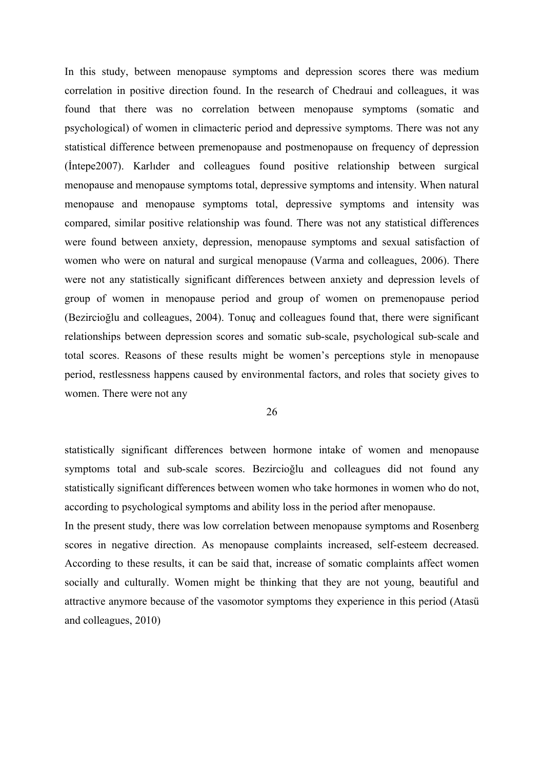In this study, between menopause symptoms and depression scores there was medium correlation in positive direction found. In the research of Chedraui and colleagues, it was found that there was no correlation between menopause symptoms (somatic and psychological) of women in climacteric period and depressive symptoms. There was not any statistical difference between premenopause and postmenopause on frequency of depression (İntepe2007). Karlıder and colleagues found positive relationship between surgical menopause and menopause symptoms total, depressive symptoms and intensity. When natural menopause and menopause symptoms total, depressive symptoms and intensity was compared, similar positive relationship was found. There was not any statistical differences were found between anxiety, depression, menopause symptoms and sexual satisfaction of women who were on natural and surgical menopause (Varma and colleagues, 2006). There were not any statistically significant differences between anxiety and depression levels of group of women in menopause period and group of women on premenopause period (Bezircioğlu and colleagues, 2004). Tonuç and colleagues found that, there were significant relationships between depression scores and somatic sub-scale, psychological sub-scale and total scores. Reasons of these results might be women's perceptions style in menopause period, restlessness happens caused by environmental factors, and roles that society gives to women. There were not any

26

statistically significant differences between hormone intake of women and menopause symptoms total and sub-scale scores. Bezircioğlu and colleagues did not found any statistically significant differences between women who take hormones in women who do not, according to psychological symptoms and ability loss in the period after menopause.

In the present study, there was low correlation between menopause symptoms and Rosenberg scores in negative direction. As menopause complaints increased, self-esteem decreased. According to these results, it can be said that, increase of somatic complaints affect women socially and culturally. Women might be thinking that they are not young, beautiful and attractive anymore because of the vasomotor symptoms they experience in this period (Atasü and colleagues, 2010)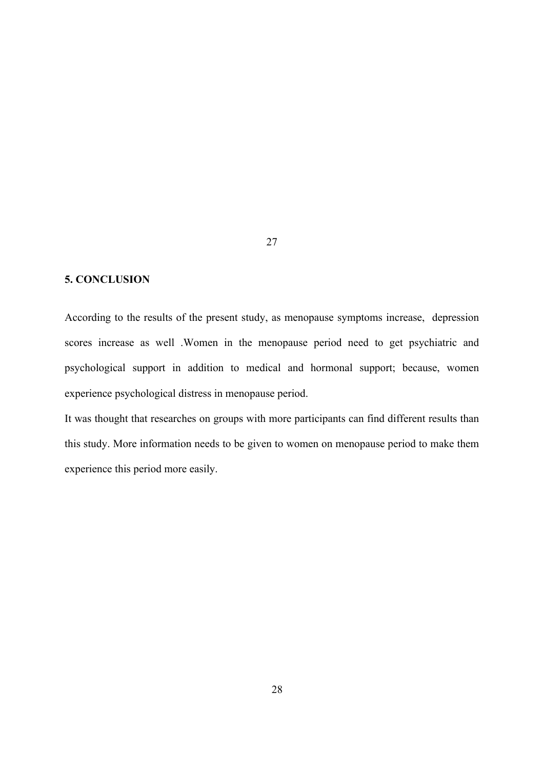#### **5. CONCLUSION**

According to the results of the present study, as menopause symptoms increase, depression scores increase as well .Women in the menopause period need to get psychiatric and psychological support in addition to medical and hormonal support; because, women experience psychological distress in menopause period.

27

It was thought that researches on groups with more participants can find different results than this study. More information needs to be given to women on menopause period to make them experience this period more easily.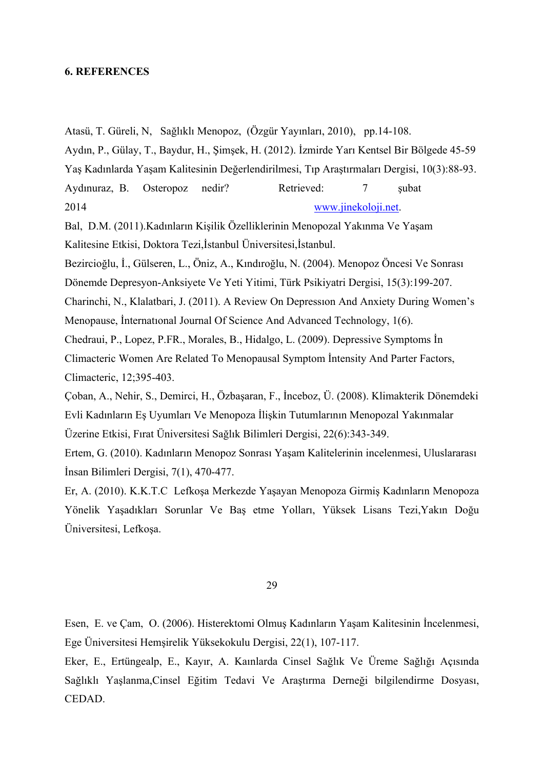$\overline{?}$ 

4  $\theta_9'$  %  $J\%P$  2  $\theta\%? < ;\theta\#%$  / 4 : " AB  $1 \t 2 \t 4 \t 1 \t 2 \t 1 \t 4 \t 2 \t 4 \t 4 \t ; < -@.11$ 4 # % D # R  $+$   $+$   $+$   $+$   $+$   $+$  $? < A$  $\%$ # / 04 C / 2  $\%$  -% <;;.%' 4' 2 480# 0  $\mathbf{1}$  $0 \t 0 \t # \t 9 \t 7 \t +$  $9 \frac{9}{6}$  $$19\%$ ,  $$0\%$  # %'4 4 1) % - ? < < A . %#8 \$ C  $\overline{4}$  $#$ 0 C / / , 0 0 " ; B - @ .!; L L ?  $\Delta \sim$  $($  \$)%' N-% < ; ; . % + D 4 > "  $-5$ 4N D \$ \$ + \$ \$ ";-E.% 9 %O #%I% %J "O%?<<L.% + 9  $\left($  $\mathcal{S}$  $\left($  $\mathbb{S}$ 9  $\frac{1}{3}$  $\left($  $\text{\$}$  ;  $\text{\$} = \text{\$\circledcirc$}$  LB A <  $\text{\$\circledcirc$}$  % & %) % \$ J % # 2 I % 9 \$ 7#% ? << H . % 0 0 0  $+$  ' 4 42 \* C4 # 9 20 4 4 # / 04 7# 0 14 7 + 1 40 " ??-E.!@A@ @AL%  $6\%$ ? < ; < . %4 4 # 4 / 2  $\mathbb{S}$  \*  $F - A F < AF F$ % 9  $\# 6$  2 4 4 # %?<;<‱%%%0 (020#/2  $1: 0/2 40 4 C 2 / 4.0 00 # / 041$  $7 +$  0 0 2 %

 $? L$ 

% & D %? << E . % 0 D 2 4 4 2 ' 9 \$ " 7 +  $J$  2  $/$ , 0 0 0 " ??-;;<F;;F% 0 %, " %' 4 %' 4 ( 1 4 0 7 1 4 1 34 4  $140'42$  ( 1 + C 2 4 1 "  $\frac{6}{5}$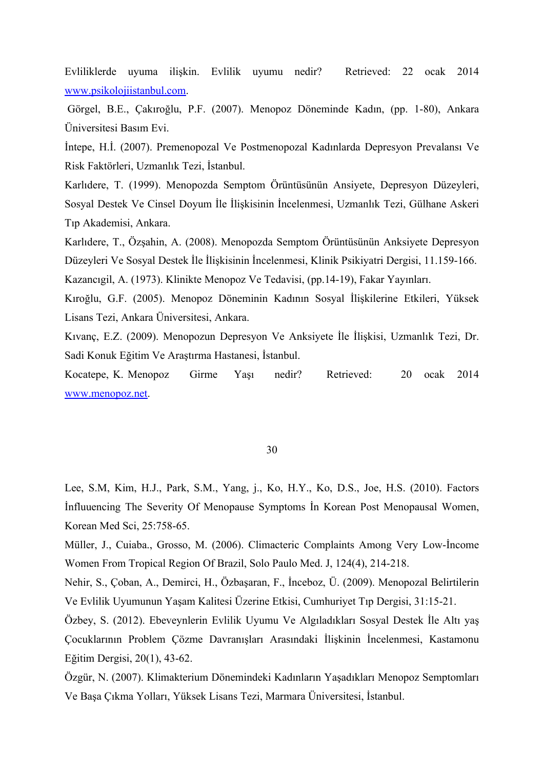$+ 0$  $20\,$  % 0 R + ?? \$ 0 ? <  $\%$  0 %  $\%$  \$ 6: " % % 04 1 % l % < F. % # : ' 4 - % H < . 0  $7 + 4 + \%$  $#$  ' 4 9  $J\%9\%5 < F.\%$  # C  $+$  C.  $010$  :  $*$  # 40# 9  $\%$  $4$  %; LLL. %#  $8, , , , ,$  $, \#$  $9 \t9 \t20 \t9 \t$ *# 40# 6, 0$  $\infty$  (  $400\%$  $4 \times 842 \times 7 << 1.$  % # 8, , , , 0 , # C (09 9 20 9 \$  $\qquad$  0 0  $\qquad$  ; ; % ; B L ' #  $$4"$  %; LF @ . % 0 # C + - %; A I; LO. / 4  $4%$  $'4$  1 6 % I-% <  $\lt$  B . % # :  $'4$  4 4 9 20 0 /, 0  $0 + 0 + 0$  $\%$ C 0 9 9 2 0  $*$  # 4 0 #  $4 + 3\% \vee \% < L \cdot \%$  #  $'$  \$  $'$  % # 6  $/$  24 R + ! ?< \$ 0 ?<  $\frac{9}{6}$  #  $\frac{9}{8}$ 

#### $@<$

%' J%N%0 % % "% J%/% % % J%-%<;<1.\$  $\overline{O}$  $\updownarrow$  " + D  $9<sup>1</sup>$ 9  $\mathbf{L}^{\text{max}}$  $$?B!FBHEB%$  $%$  %-?<<E.%\$ (\$ " C O 9 \$ N %  $\overline{\phantom{a}}$  $$ " D # \t%$  %N; ? A - A ; A ? ; H %  $\mathbf{1}$ %& %  $$J\%8# 2 1\%9 $ #\%? << L.\% #$  $\overline{)}$  $C + *0$  / 2 ' 7# 0 ( 4 " @ ; ! ; B ? 8# %?<;?.%+ + \*0 C "4 40 4 09 4 & \$ 0 4 4 & : # + 42 44 9 209 \$ ' 1 "  $? \leq$   $: A \otimes E ? \%$  $8#$ ",  $)$  % ? < < F . % 0 :  $0'$  4  $A$  2 40 4 # #  $7 + 9$  %  $C = 2 & 40 / 400$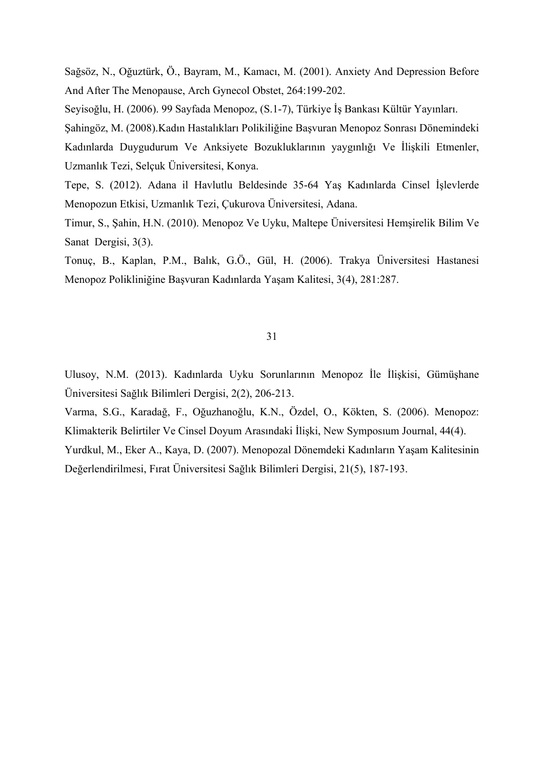Sağsöz, N., Oğuztürk, Ö., Bayram, M., Kamacı, M. (2001). Anxiety And Depression Before And After The Menopause, Arch Gynecol Obstet, 264:199-202.

Seyisoğlu, H. (2006). 99 Sayfada Menopoz, (S.1-7), Türkiye İş Bankası Kültür Yayınları.

Şahingöz, M. (2008).Kadın Hastalıkları Polikiliğine Başvuran Menopoz Sonrası Dönemindeki Kadınlarda Duygudurum Ve Anksiyete Bozukluklarının yaygınlığı Ve İlişkili Etmenler, Uzmanlık Tezi, Selçuk Üniversitesi, Konya.

Tepe, S. (2012). Adana il Havlutlu Beldesinde 35-64 Yaş Kadınlarda Cinsel İşlevlerde Menopozun Etkisi, Uzmanlık Tezi, Çukurova Üniversitesi, Adana.

Timur, S., Şahin, H.N. (2010). Menopoz Ve Uyku, Maltepe Üniversitesi Hemşirelik Bilim Ve Sanat Dergisi, 3(3).

Tonuç, B., Kaplan, P.M., Balık, G.Ö., Gül, H. (2006). Trakya Üniversitesi Hastanesi Menopoz Polikliniğine Başvuran Kadınlarda Yaşam Kalitesi, 3(4), 281:287.

## 31

Ulusoy, N.M. (2013). Kadınlarda Uyku Sorunlarının Menopoz İle İlişkisi, Gümüşhane Üniversitesi Sağlık Bilimleri Dergisi, 2(2), 206-213.

Varma, S.G., Karadağ, F., Oğuzhanoğlu, K.N., Özdel, O., Kökten, S. (2006). Menopoz: Klimakterik Belirtiler Ve Cinsel Doyum Arasındaki İlişki, New Symposıum Journal, 44(4).

Yurdkul, M., Eker A., Kaya, D. (2007). Menopozal Dönemdeki Kadınların Yaşam Kalitesinin Değerlendirilmesi, Fırat Üniversitesi Sağlık Bilimleri Dergisi, 21(5), 187-193.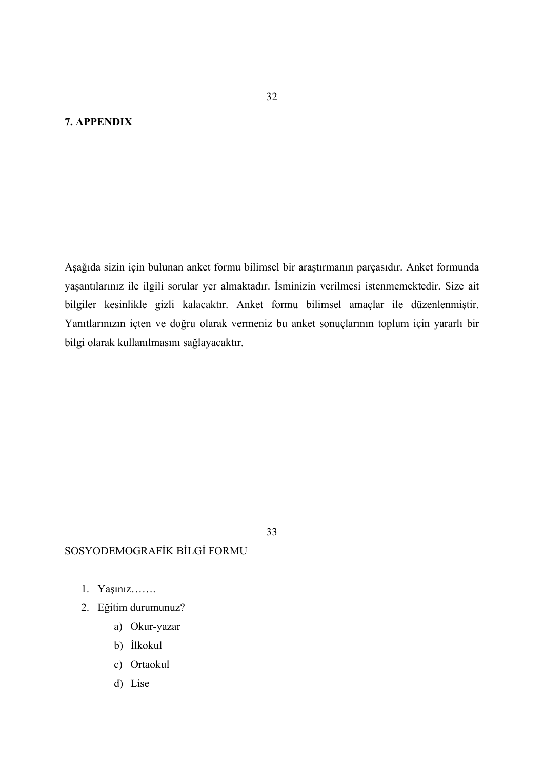#### **7. APPENDIX**

Aşağıda sizin için bulunan anket formu bilimsel bir araştırmanın parçasıdır. Anket formunda yaşantılarınız ile ilgili sorular yer almaktadır. İsminizin verilmesi istenmemektedir. Size ait bilgiler kesinlikle gizli kalacaktır. Anket formu bilimsel amaçlar ile düzenlenmiştir. Yanıtlarınızın içten ve doğru olarak vermeniz bu anket sonuçlarının toplum için yararlı bir bilgi olarak kullanılmasını sağlayacaktır.

33

## SOSYODEMOGRAFİK BİLGİ FORMU

- 1. Yaşınız…….
- 2. Eğitim durumunuz?
	- a) Okur-yazar
	- b) İlkokul
	- c) Ortaokul
	- d) Lise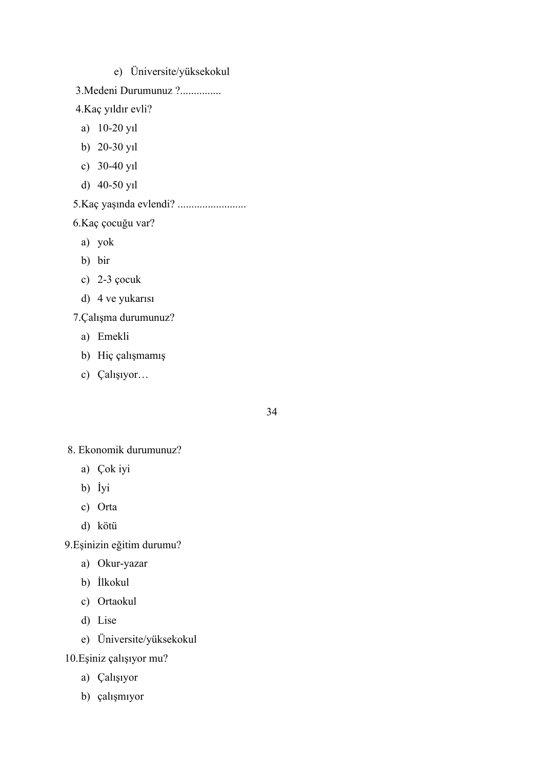- e) Üniversite/yüksekokul
- 3.Medeni Durumunuz ?...............

4.Kaç yıldır evli?

- a) 10-20 yıl
- b) 20-30 yıl
- c) 30-40 yıl
- d) 40-50 yıl
- 5.Kaç yaşında evlendi? .........................

6.Kaç çocuğu var?

- a) yok
- b) bir
- c) 2-3 çocuk
- d) 4 ve yukarısı

7.Çalışma durumunuz?

- a) Emekli
- b) Hiç çalışmamış
- c) Çalışıyor…

34

## 8. Ekonomik durumunuz?

- a) Çok iyi
- b) İyi
- c) Orta
- d) kötü

9.Eşinizin eğitim durumu?

- a) Okur-yazar
- b) İlkokul
- c) Ortaokul
- d) Lise
- e) Üniversite/yüksekokul

## 10.Eşiniz çalışıyor mu?

- a) Çalışıyor
- b) çalışmıyor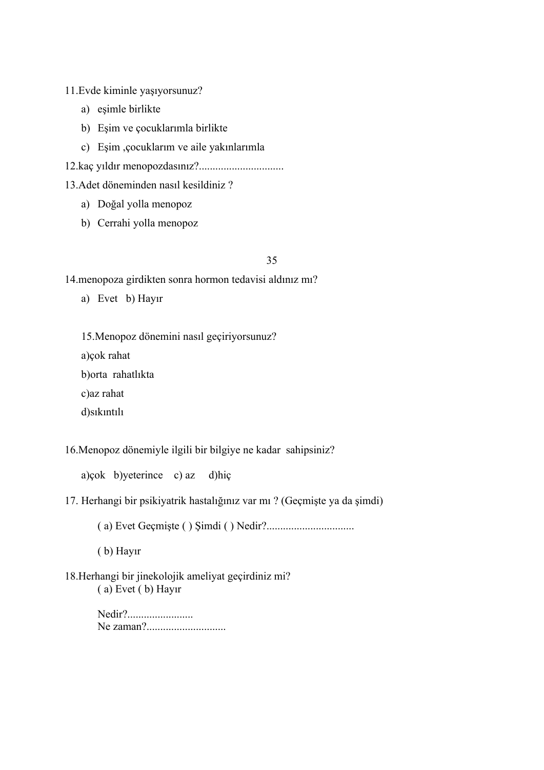11.Evde kiminle yaşıyorsunuz?

- a) eşimle birlikte
- b) Eşim ve çocuklarımla birlikte
- c) Eşim ,çocuklarım ve aile yakınlarımla

12.kaç yıldır menopozdasınız?...............................

13.Adet döneminden nasıl kesildiniz ?

- a) Doğal yolla menopoz
- b) Cerrahi yolla menopoz

## 35

14.menopoza girdikten sonra hormon tedavisi aldınız mı?

a) Evet b) Hayır

15.Menopoz dönemini nasıl geçiriyorsunuz?

a)çok rahat

b)orta rahatlıkta

c)az rahat

d)sıkıntılı

16.Menopoz dönemiyle ilgili bir bilgiye ne kadar sahipsiniz?

a)çok b)yeterince c) az d)hiç

17. Herhangi bir psikiyatrik hastalığınız var mı ? (Geçmişte ya da şimdi)

( a) Evet Geçmişte ( ) Şimdi ( ) Nedir?................................

( b) Hayır

## 18.Herhangi bir jinekolojik ameliyat geçirdiniz mi? ( a) Evet ( b) Hayır

Nedir?........................ Ne zaman?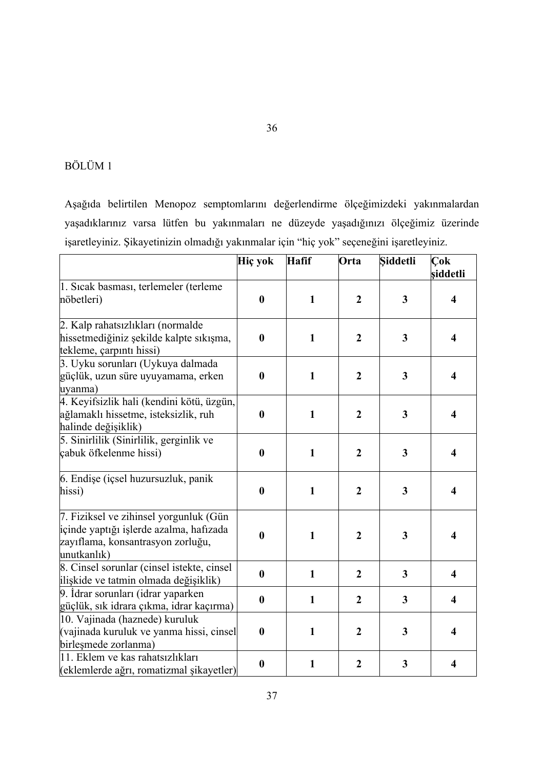## 36

## BÖLÜM 1

Aşağıda belirtilen Menopoz semptomlarını değerlendirme ölçeğimizdeki yakınmalardan yaşadıklarınız varsa lütfen bu yakınmaları ne düzeyde yaşadığınızı ölçeğimiz üzerinde işaretleyiniz. Şikayetinizin olmadığı yakınmalar için "hiç yok" seçeneğini işaretleyiniz.

|                                                                                                                                       | Hiç yok          | Hafif        | Orta             | <b>Siddetli</b> | Cok<br>șiddetli         |
|---------------------------------------------------------------------------------------------------------------------------------------|------------------|--------------|------------------|-----------------|-------------------------|
| 1. Sıcak basması, terlemeler (terleme                                                                                                 |                  |              |                  |                 |                         |
| nöbetleri)                                                                                                                            | $\boldsymbol{0}$ | $\mathbf{1}$ | $\boldsymbol{2}$ | $\mathbf{3}$    | $\overline{\mathbf{4}}$ |
| 2. Kalp rahatsızlıkları (normalde<br>hissetmediğiniz şekilde kalpte sıkışma,<br>tekleme, çarpıntı hissi)                              | $\boldsymbol{0}$ | $\mathbf{1}$ | $\boldsymbol{2}$ | $\mathbf{3}$    | $\overline{\mathbf{4}}$ |
| 3. Uyku sorunları (Uykuya dalmada<br>güçlük, uzun süre uyuyamama, erken<br>uyanma)                                                    | $\bf{0}$         | $\mathbf{1}$ | $\boldsymbol{2}$ | $\mathbf{3}$    | $\overline{\mathbf{4}}$ |
| 4. Keyifsizlik hali (kendini kötü, üzgün,<br>ağlamaklı hissetme, isteksizlik, ruh<br>halinde değişiklik)                              | $\boldsymbol{0}$ | $\mathbf{1}$ | $\boldsymbol{2}$ | 3               | $\overline{\mathbf{4}}$ |
| 5. Sinirlilik (Sinirlilik, gerginlik ve<br>çabuk öfkelenme hissi)                                                                     | $\boldsymbol{0}$ | $\mathbf{1}$ | $\overline{2}$   | 3               | $\overline{\mathbf{4}}$ |
| 6. Endişe (içsel huzursuzluk, panik<br>hissi)                                                                                         | $\boldsymbol{0}$ | $\mathbf{1}$ | $\boldsymbol{2}$ | $\mathbf{3}$    | $\overline{\mathbf{4}}$ |
| 7. Fiziksel ve zihinsel yorgunluk (Gün<br>içinde yaptığı işlerde azalma, hafizada<br>zayıflama, konsantrasyon zorluğu,<br>unutkanlık) | $\bf{0}$         | $\mathbf{1}$ | $\overline{2}$   | 3               | $\overline{\mathbf{4}}$ |
| 8. Cinsel sorunlar (cinsel istekte, cinsel<br>ilişkide ve tatmin olmada değişiklik)                                                   | $\bf{0}$         | $\mathbf{1}$ | $\overline{2}$   | 3               | $\overline{\mathbf{4}}$ |
| 9. İdrar sorunları (idrar yaparken<br>güçlük, sık idrara çıkma, idrar kaçırma)                                                        | $\boldsymbol{0}$ | $\mathbf{1}$ | $\overline{2}$   | $\mathbf{3}$    | $\overline{\mathbf{4}}$ |
| 10. Vajinada (haznede) kuruluk<br>(vajinada kuruluk ve yanma hissi, cinsel<br>birleşmede zorlanma)                                    | $\boldsymbol{0}$ | $\mathbf{1}$ | $\overline{2}$   | $\mathbf{3}$    | $\overline{\mathbf{4}}$ |
| 11. Eklem ve kas rahatsızlıkları<br>(eklemlerde ağrı, romatizmal şikayetler)                                                          | $\boldsymbol{0}$ | $\mathbf{1}$ | $\overline{2}$   | 3               | $\overline{\mathbf{4}}$ |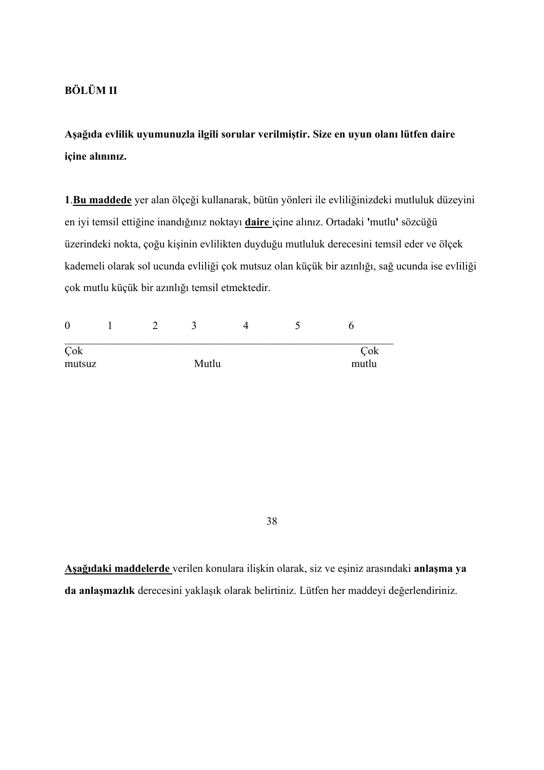## **BÖLÜM II**

**Aşağıda evlilik uyumunuzla ilgili sorular verilmiştir. Size en uyun olanı lütfen daire içine alınınız.**

**1**.**Bu maddede** yer alan ölçeği kullanarak, bütün yönleri ile evliliğinizdeki mutluluk düzeyini en iyi temsil ettiğine inandığınız noktayı **daire** içine alınız. Ortadaki **'**mutlu**'** sözcüğü üzerindeki nokta, çoğu kişinin evlilikten duyduğu mutluluk derecesini temsil eder ve ölçek kademeli olarak sol ucunda evliliği çok mutsuz olan küçük bir azınlığı, sağ ucunda ise evliliği çok mutlu küçük bir azınlığı temsil etmektedir.

| $\boldsymbol{0}$ |  |       |  |              |
|------------------|--|-------|--|--------------|
| Çok<br>mutsuz    |  | Mutlu |  | Çok<br>mutlu |

38

**Aşağıdaki maddelerde** verilen konulara ilişkin olarak, siz ve eşiniz arasındaki **anlaşma ya da anlaşmazlık** derecesini yaklaşık olarak belirtiniz. Lütfen her maddeyi değerlendiriniz.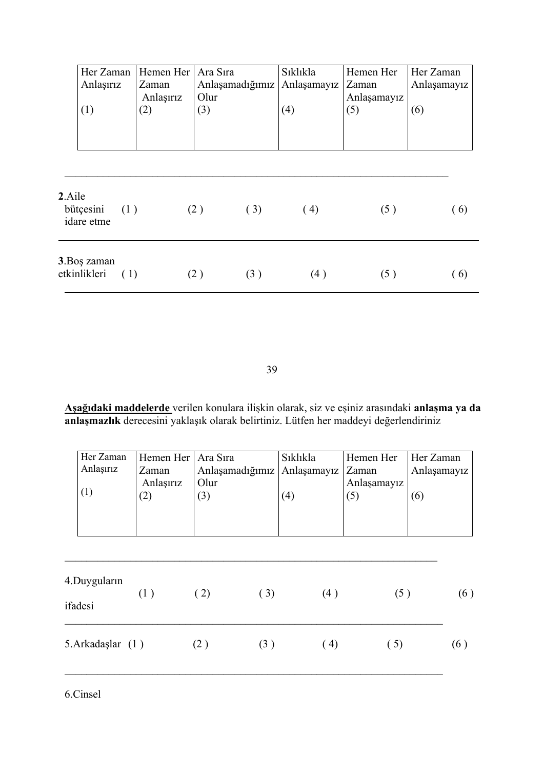|        | Her Zaman<br>Anlaşırız<br>(1) | Zaman<br>Anlaşırız<br>(2) | Hemen Her<br>(3) | Ara Sıra<br>Anlaşamadığımız<br>Olur |     | Sıklıkla<br>Anlaşamayız<br>(4) | Hemen Her<br>Zaman<br>Anlaşamayız<br>(5) | Her Zaman<br>Anlaşamayız<br>(6) |     |
|--------|-------------------------------|---------------------------|------------------|-------------------------------------|-----|--------------------------------|------------------------------------------|---------------------------------|-----|
| 2.Aile | bütçesini<br>idare etme       | (1)                       | (2)              |                                     | (3) | (4)                            | (5)                                      |                                 | (6) |
|        | 3. Boş zaman<br>etkinlikleri  | (1)                       | (2)              |                                     | (3) | (4)                            | (5)                                      |                                 | (6) |

39

**Aşağıdaki maddelerde** verilen konulara ilişkin olarak, siz ve eşiniz arasındaki **anlaşma ya da anlaşmazlık** derecesini yaklaşık olarak belirtiniz. Lütfen her maddeyi değerlendiriniz

| Her Zaman<br>Anlaşırız  | Hemen Her   Ara Sıra<br>Zaman |             | Anlaşamadığımız | Sıklıkla<br>Anlaşamayız | Hemen Her<br>Zaman | Her Zaman<br>Anlaşamayız |
|-------------------------|-------------------------------|-------------|-----------------|-------------------------|--------------------|--------------------------|
| (1)                     | Anlaşırız<br>(2)              | Olur<br>(3) |                 | (4)                     | Anlaşamayız<br>(5) | (6)                      |
| 4.Duyguların<br>ifadesi | (1)                           | (2)         | (3)             | (4)                     | (5)                | (6)                      |
| 5. Arkadaşlar (1)       |                               | (2)         | (3)             | (4)                     | (5)                | (6)                      |

 $\_$  , and the contribution of the contribution of  $\mathcal{L}_\mathcal{A}$  , and the contribution of  $\mathcal{L}_\mathcal{A}$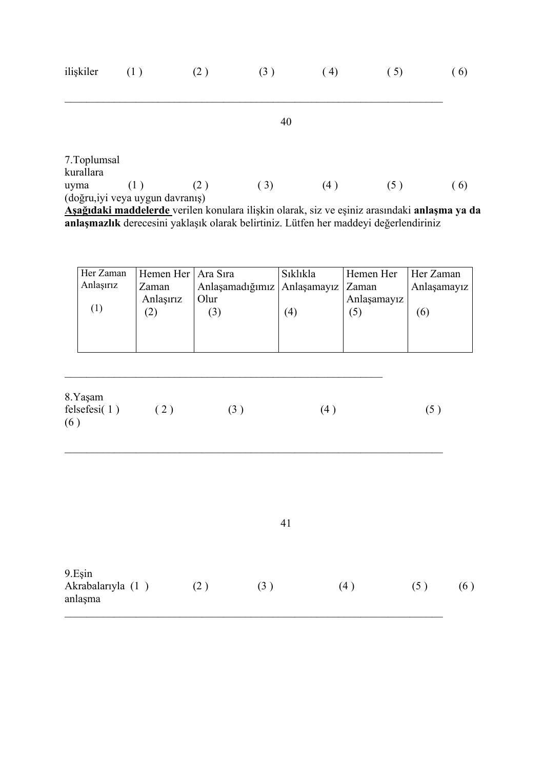| ilişkiler         | (1)                                                                      | (2)                   | (3)                        | (4)                                                       | (5)                    | (6) |  |  |
|-------------------|--------------------------------------------------------------------------|-----------------------|----------------------------|-----------------------------------------------------------|------------------------|-----|--|--|
|                   | 40                                                                       |                       |                            |                                                           |                        |     |  |  |
| 7. Toplumsal      |                                                                          |                       |                            |                                                           |                        |     |  |  |
| kurallara<br>uyma | (1)<br>(doğru,iyi veya uygun davranış)<br>$\lambda$ viit iii i $\lambda$ | (2)<br>$\blacksquare$ | (3)<br>11.11<br>$\sim$ 1 1 | (4)<br>$\bullet$ .<br><br><br><br><br><br><br><br>$\cdot$ | (5)<br>$1.1.1$ $1.1.1$ | (6) |  |  |

**Aşağıdaki maddelerde** verilen konulara ilişkin olarak, siz ve eşiniz arasındaki **anlaşma ya da anlaşmazlık** derecesini yaklaşık olarak belirtiniz. Lütfen her maddeyi değerlendiriniz

| Her Zaman | Hemen Her   Ara Sıra |                               | Sıklıkla | Hemen Her   | Her Zaman   |
|-----------|----------------------|-------------------------------|----------|-------------|-------------|
| Anlaşırız | Zaman                | Anlaşamadığımız   Anlaşamayız |          | Zaman       | Anlaşamayız |
|           | Anlaşırız            | Olur                          |          | Anlaşamayız |             |
| (1)       |                      | (3)                           | (4)      | (5)         | (6)         |
|           |                      |                               |          |             |             |
|           |                      |                               |          |             |             |
|           |                      |                               |          |             |             |
|           |                      |                               |          |             |             |
|           |                      |                               |          |             |             |

| 8.Yaşam<br>felsefesi $(1)$ | (2) | (3) | (4) |  |
|----------------------------|-----|-----|-----|--|
| (6)                        |     |     |     |  |

 $\_$  , and the contribution of the contribution of  $\mathcal{L}_\mathcal{A}$  , and the contribution of  $\mathcal{L}_\mathcal{A}$ 

| 9.Esin<br>Akrabalarıyla (1)<br>anlaşma | $(2^{-}$ | (3) | (4 | $(5^{-}$ | (6) |
|----------------------------------------|----------|-----|----|----------|-----|
|                                        |          |     |    |          |     |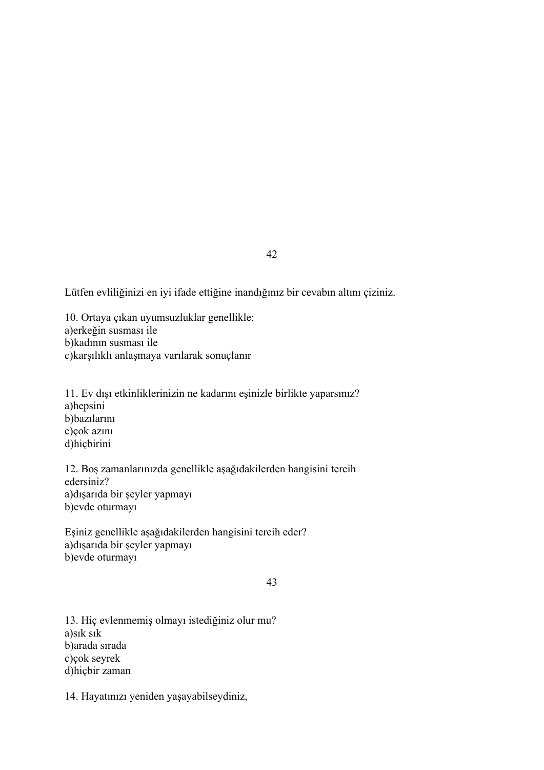Lütfen evliliğinizi en iyi ifade ettiğine inandığınız bir cevabın altını çiziniz.

10. Ortaya çıkan uyumsuzluklar genellikle: a)erkeğin susması ile b)kadının susması ile c)karşılıklı anlaşmaya varılarak sonuçlanır

11. Ev dışı etkinliklerinizin ne kadarını eşinizle birlikte yaparsınız? a)hepsini b)bazılarını c)çok azını d)hiçbirini

12. Boş zamanlarınızda genellikle aşağıdakilerden hangisini tercih edersiniz? a)dışarıda bir şeyler yapmayı b)evde oturmayı

Eşiniz genellikle aşağıdakilerden hangisini tercih eder? a)dışarıda bir şeyler yapmayı b)evde oturmayı

#### 43

13. Hiç evlenmemiş olmayı istediğiniz olur mu? a)sık sık b)arada sırada c)çok seyrek d)hiçbir zaman

14. Hayatınızı yeniden yaşayabilseydiniz,

#### 42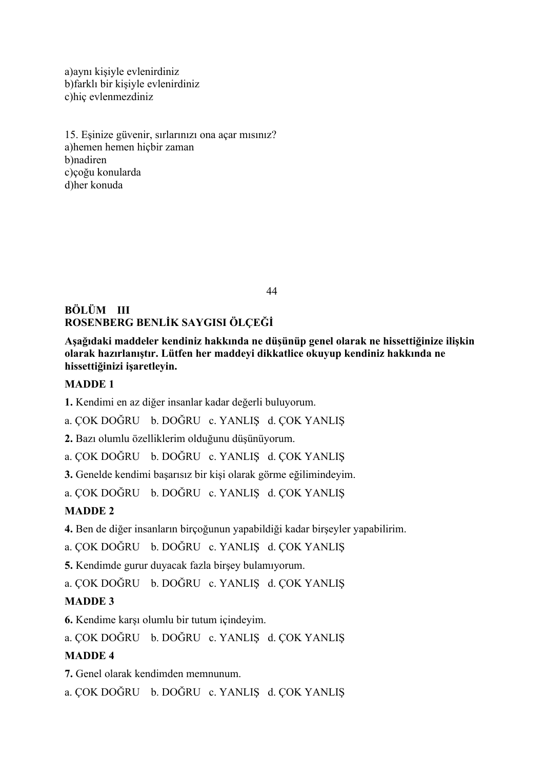a)aynı kişiyle evlenirdiniz b)farklı bir kişiyle evlenirdiniz c)hiç evlenmezdiniz

15. Eşinize güvenir, sırlarınızı ona açar mısınız? a)hemen hemen hiçbir zaman b)nadiren c)çoğu konularda d)her konuda

## **BÖLÜM III ROSENBERG BENLİK SAYGISI ÖLÇEĞİ**

**Aşağıdaki maddeler kendiniz hakkında ne düşünüp genel olarak ne hissettiğinize ilişkin olarak hazırlanıştır. Lütfen her maddeyi dikkatlice okuyup kendiniz hakkında ne hissettiğinizi işaretleyin.**

44

## **MADDE 1**

**1.** Kendimi en az diğer insanlar kadar değerli buluyorum.

a. ÇOK DOĞRU b. DOĞRU c. YANLIŞ d. ÇOK YANLIŞ

**2.** Bazı olumlu özelliklerim olduğunu düşünüyorum.

a. ÇOK DOĞRU b. DOĞRU c. YANLIŞ d. ÇOK YANLIŞ

**3.** Genelde kendimi başarısız bir kişi olarak görme eğilimindeyim.

a. ÇOK DOĞRU b. DOĞRU c. YANLIŞ d. ÇOK YANLIŞ

## **MADDE 2**

**4.** Ben de diğer insanların birçoğunun yapabildiği kadar birşeyler yapabilirim.

a. ÇOK DOĞRU b. DOĞRU c. YANLIŞ d. ÇOK YANLIŞ

**5.** Kendimde gurur duyacak fazla birşey bulamıyorum.

a. ÇOK DOĞRU b. DOĞRU c. YANLIŞ d. ÇOK YANLIŞ

## **MADDE 3**

**6.** Kendime karşı olumlu bir tutum içindeyim.

a. ÇOK DOĞRU b. DOĞRU c. YANLIŞ d. ÇOK YANLIŞ

## **MADDE 4**

**7.** Genel olarak kendimden memnunum.

a. ÇOK DOĞRU b. DOĞRU c. YANLIŞ d. ÇOK YANLIŞ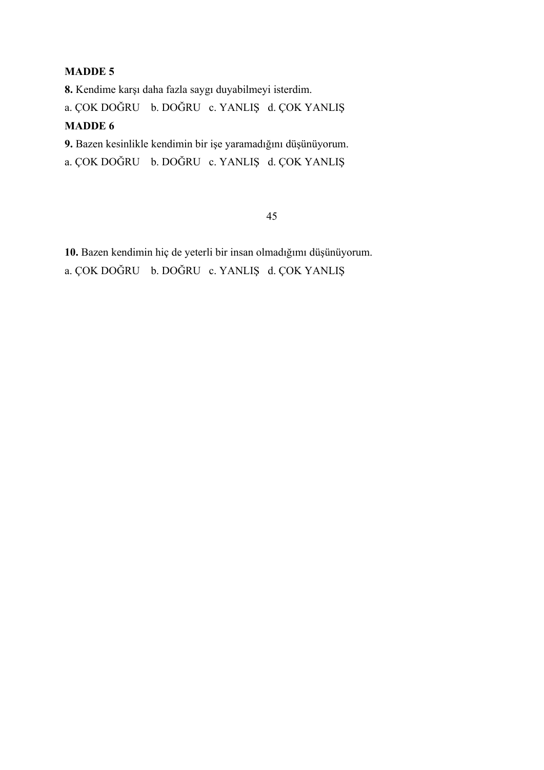## **MADDE 5**

**8.** Kendime karşı daha fazla saygı duyabilmeyi isterdim.

a. ÇOK DOĞRU b. DOĞRU c. YANLIŞ d. ÇOK YANLIŞ

## **MADDE 6**

**9.** Bazen kesinlikle kendimin bir işe yaramadığını düşünüyorum.

a. ÇOK DOĞRU b. DOĞRU c. YANLIŞ d. ÇOK YANLIŞ

## 45

**10.** Bazen kendimin hiç de yeterli bir insan olmadığımı düşünüyorum. a. ÇOK DOĞRU b. DOĞRU c. YANLIŞ d. ÇOK YANLIŞ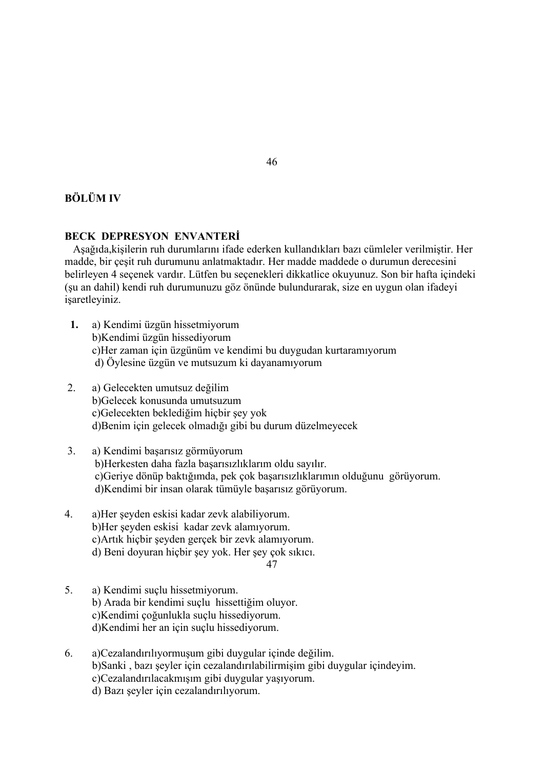## **BÖLÜM IV**

## **BECK DEPRESYON ENVANTERİ**

 Aşağıda,kişilerin ruh durumlarını ifade ederken kullandıkları bazı cümleler verilmiştir. Her madde, bir çeşit ruh durumunu anlatmaktadır. Her madde maddede o durumun derecesini belirleyen 4 seçenek vardır. Lütfen bu seçenekleri dikkatlice okuyunuz. Son bir hafta içindeki (şu an dahil) kendi ruh durumunuzu göz önünde bulundurarak, size en uygun olan ifadeyi isaretleyiniz.

- **1.** a) Kendimi üzgün hissetmiyorum b)Kendimi üzgün hissediyorum c)Her zaman için üzgünüm ve kendimi bu duygudan kurtaramıyorum d) Öylesine üzgün ve mutsuzum ki dayanamıyorum
- 2. a) Gelecekten umutsuz değilim b)Gelecek konusunda umutsuzum c)Gelecekten beklediğim hiçbir şey yok d)Benim için gelecek olmadığı gibi bu durum düzelmeyecek
- 3. a) Kendimi başarısız görmüyorum b)Herkesten daha fazla başarısızlıklarım oldu sayılır. c)Geriye dönüp baktığımda, pek çok başarısızlıklarımın olduğunu görüyorum. d)Kendimi bir insan olarak tümüyle başarısız görüyorum.
- 4. a)Her şeyden eskisi kadar zevk alabiliyorum. b)Her şeyden eskisi kadar zevk alamıyorum. c)Artık hiçbir şeyden gerçek bir zevk alamıyorum. d) Beni doyuran hiçbir şey yok. Her şey çok sıkıcı.

47

- 5. a) Kendimi suçlu hissetmiyorum. b) Arada bir kendimi suçlu hissettiğim oluyor. c)Kendimi çoğunlukla suçlu hissediyorum. d)Kendimi her an için suçlu hissediyorum.
- 6. a)Cezalandırılıyormuşum gibi duygular içinde değilim. b)Sanki , bazı şeyler için cezalandırılabilirmişim gibi duygular içindeyim. c)Cezalandırılacakmışım gibi duygular yaşıyorum. d) Bazı şeyler için cezalandırılıyorum.

46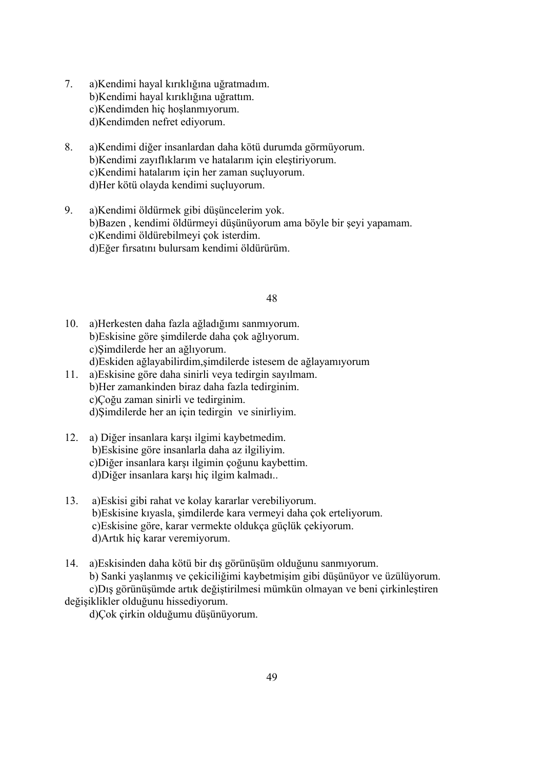- 7. a)Kendimi hayal kırıklığına uğratmadım. b)Kendimi hayal kırıklığına uğrattım. c)Kendimden hiç hoşlanmıyorum. d)Kendimden nefret ediyorum.
- 8. a)Kendimi diğer insanlardan daha kötü durumda görmüyorum. b)Kendimi zayıflıklarım ve hatalarım için eleştiriyorum. c)Kendimi hatalarım için her zaman suçluyorum. d)Her kötü olayda kendimi suçluyorum.
- 9. a)Kendimi öldürmek gibi düşüncelerim yok. b)Bazen , kendimi öldürmeyi düşünüyorum ama böyle bir şeyi yapamam. c)Kendimi öldürebilmeyi çok isterdim. d)Eğer fırsatını bulursam kendimi öldürürüm.

#### 48

- 10. a)Herkesten daha fazla ağladığımı sanmıyorum. b)Eskisine göre şimdilerde daha çok ağlıyorum. c)Şimdilerde her an ağlıyorum. d)Eskiden ağlayabilirdim,şimdilerde istesem de ağlayamıyorum
- 11. a)Eskisine göre daha sinirli veya tedirgin sayılmam. b)Her zamankinden biraz daha fazla tedirginim. c)Çoğu zaman sinirli ve tedirginim. d)Şimdilerde her an için tedirgin ve sinirliyim.
- 12. a) Diğer insanlara karşı ilgimi kaybetmedim. b)Eskisine göre insanlarla daha az ilgiliyim. c)Diğer insanlara karşı ilgimin çoğunu kaybettim. d)Diğer insanlara karşı hiç ilgim kalmadı..
- 13. a)Eskisi gibi rahat ve kolay kararlar verebiliyorum. b)Eskisine kıyasla, şimdilerde kara vermeyi daha çok erteliyorum. c)Eskisine göre, karar vermekte oldukça güçlük çekiyorum. d)Artık hiç karar veremiyorum.
- 14. a)Eskisinden daha kötü bir dış görünüşüm olduğunu sanmıyorum. b) Sanki yaşlanmış ve çekiciliğimi kaybetmişim gibi düşünüyor ve üzülüyorum. c)Dış görünüşümde artık değiştirilmesi mümkün olmayan ve beni çirkinleştiren değişiklikler olduğunu hissediyorum.

d)Çok çirkin olduğumu düşünüyorum.